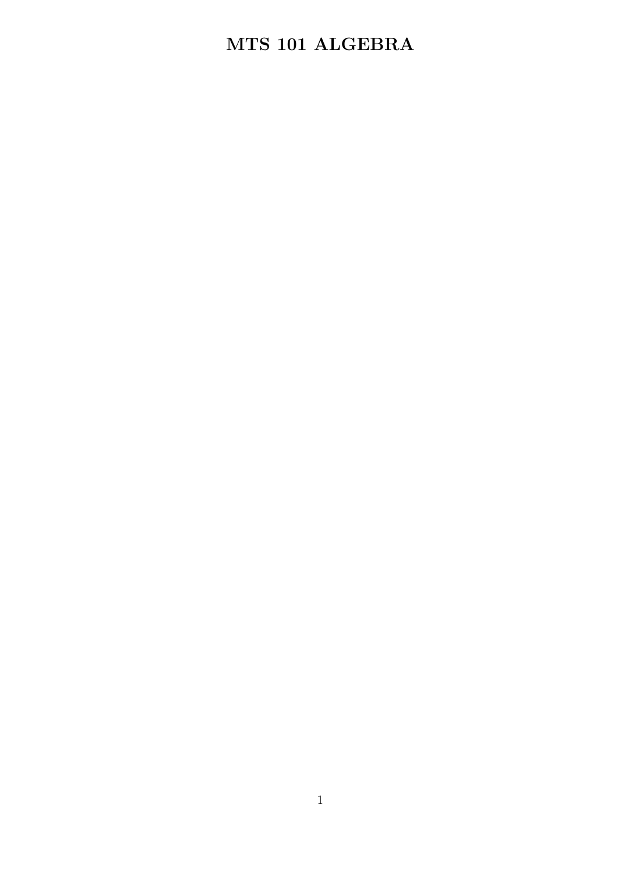## MTS 101 ALGEBRA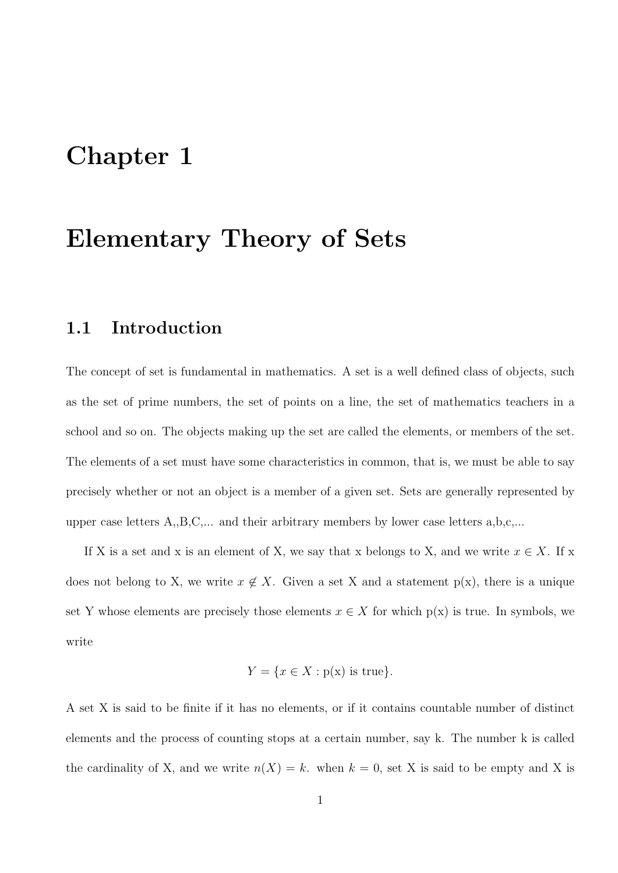## Chapter 1

## Elementary Theory of Sets

#### 1.1 Introduction

The concept of set is fundamental in mathematics. A set is a well defined class of objects, such as the set of prime numbers, the set of points on a line, the set of mathematics teachers in a school and so on. The objects making up the set are called the elements, or members of the set. The elements of a set must have some characteristics in common, that is, we must be able to say precisely whether or not an object is a member of a given set. Sets are generally represented by upper case letters A,,B,C,... and their arbitrary members by lower case letters a,b,c,...

If X is a set and x is an element of X, we say that x belongs to X, and we write  $x \in X$ . If x does not belong to X, we write  $x \notin X$ . Given a set X and a statement p(x), there is a unique set Y whose elements are precisely those elements  $x \in X$  for which  $p(x)$  is true. In symbols, we write

$$
Y = \{ x \in X : p(x) \text{ is true} \}.
$$

A set X is said to be finite if it has no elements, or if it contains countable number of distinct elements and the process of counting stops at a certain number, say k. The number k is called the cardinality of X, and we write  $n(X) = k$ . when  $k = 0$ , set X is said to be empty and X is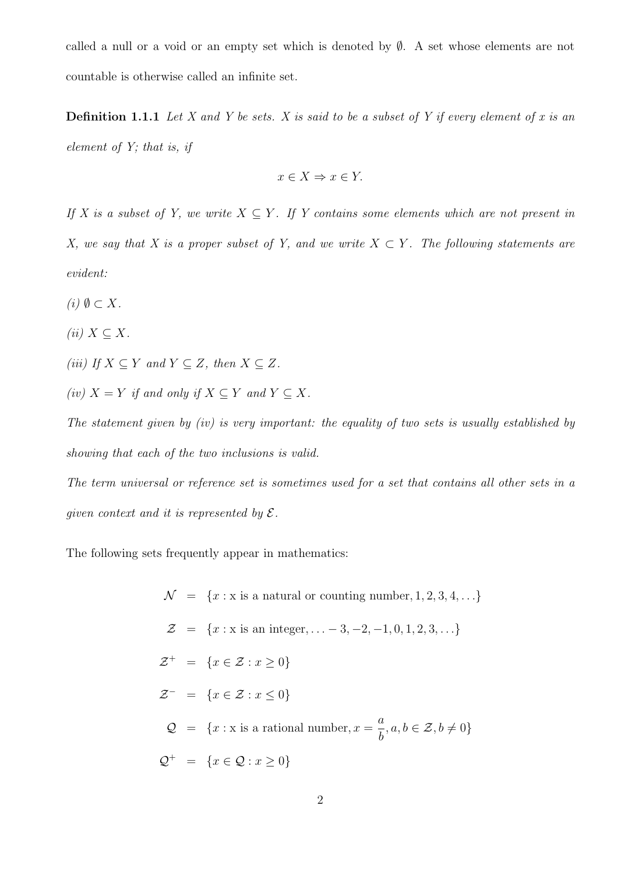called a null or a void or an empty set which is denoted by  $\emptyset$ . A set whose elements are not countable is otherwise called an infinite set.

**Definition 1.1.1** Let X and Y be sets. X is said to be a subset of Y if every element of x is an element of Y; that is, if

$$
x \in X \Rightarrow x \in Y.
$$

If X is a subset of Y, we write  $X \subseteq Y$ . If Y contains some elements which are not present in X, we say that X is a proper subset of Y, and we write  $X \subset Y$ . The following statements are evident:

- (i)  $\emptyset \subset X$ .
- (ii)  $X \subseteq X$ .

(iii) If  $X \subseteq Y$  and  $Y \subseteq Z$ , then  $X \subseteq Z$ .

(iv)  $X = Y$  if and only if  $X \subseteq Y$  and  $Y \subseteq X$ .

The statement given by (iv) is very important: the equality of two sets is usually established by showing that each of the two inclusions is valid.

The term universal or reference set is sometimes used for a set that contains all other sets in a given context and it is represented by  $\mathcal{E}.$ 

The following sets frequently appear in mathematics:

 $\mathcal{N} = \{x : x \text{ is a natural or counting number}, 1, 2, 3, 4, \ldots\}$  $\mathcal{Z} = \{x : x \text{ is an integer}, \ldots -3, -2, -1, 0, 1, 2, 3, \ldots\}$  $\mathcal{Z}^+ = \{x \in \mathcal{Z} : x \geq 0\}$  $\mathcal{Z}^- = \{x \in \mathcal{Z} : x \leq 0\}$  $\mathcal{Q} = \{x : x \text{ is a rational number}, x = \frac{a}{b}\}$ b  $, a, b \in \mathcal{Z}, b \neq 0$ }  $Q^+ = \{x \in \mathcal{Q} : x \ge 0\}$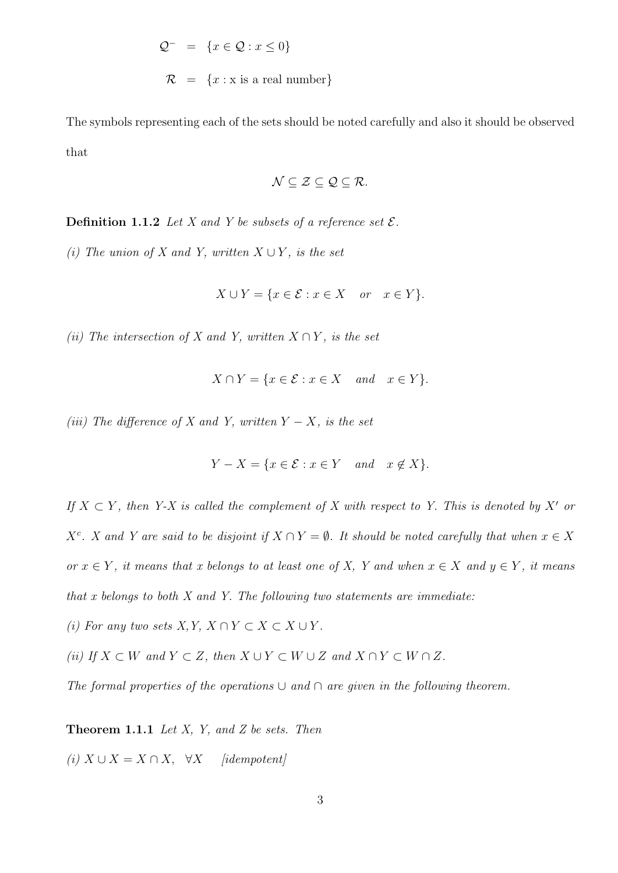$$
Q^{-} = \{x \in Q : x \le 0\}
$$
  

$$
R = \{x : x \text{ is a real number}\}\
$$

The symbols representing each of the sets should be noted carefully and also it should be observed that

$$
\mathcal{N}\subseteq\mathcal{Z}\subseteq\mathcal{Q}\subseteq\mathcal{R}.
$$

**Definition 1.1.2** Let X and Y be subsets of a reference set  $\mathcal{E}$ .

(i) The union of X and Y, written  $X \cup Y$ , is the set

$$
X \cup Y = \{ x \in \mathcal{E} : x \in X \quad or \quad x \in Y \}.
$$

(ii) The intersection of X and Y, written  $X \cap Y$ , is the set

$$
X \cap Y = \{ x \in \mathcal{E} : x \in X \quad and \quad x \in Y \}.
$$

(iii) The difference of X and Y, written  $Y - X$ , is the set

$$
Y - X = \{ x \in \mathcal{E} : x \in Y \quad and \quad x \notin X \}.
$$

If  $X \subset Y$ , then Y-X is called the complement of X with respect to Y. This is denoted by X' or  $X^c$ . X and Y are said to be disjoint if  $X \cap Y = \emptyset$ . It should be noted carefully that when  $x \in X$ or  $x \in Y$ , it means that x belongs to at least one of X, Y and when  $x \in X$  and  $y \in Y$ , it means that  $x$  belongs to both  $X$  and  $Y$ . The following two statements are immediate:

(i) For any two sets  $X, Y, X \cap Y \subset X \subset X \cup Y$ .

(ii) If  $X \subset W$  and  $Y \subset Z$ , then  $X \cup Y \subset W \cup Z$  and  $X \cap Y \subset W \cap Z$ .

The formal properties of the operations  $\cup$  and  $\cap$  are given in the following theorem.

**Theorem 1.1.1** Let  $X$ ,  $Y$ , and  $Z$  be sets. Then

(i)  $X \cup X = X \cap X$ ,  $\forall X$  [idempotent]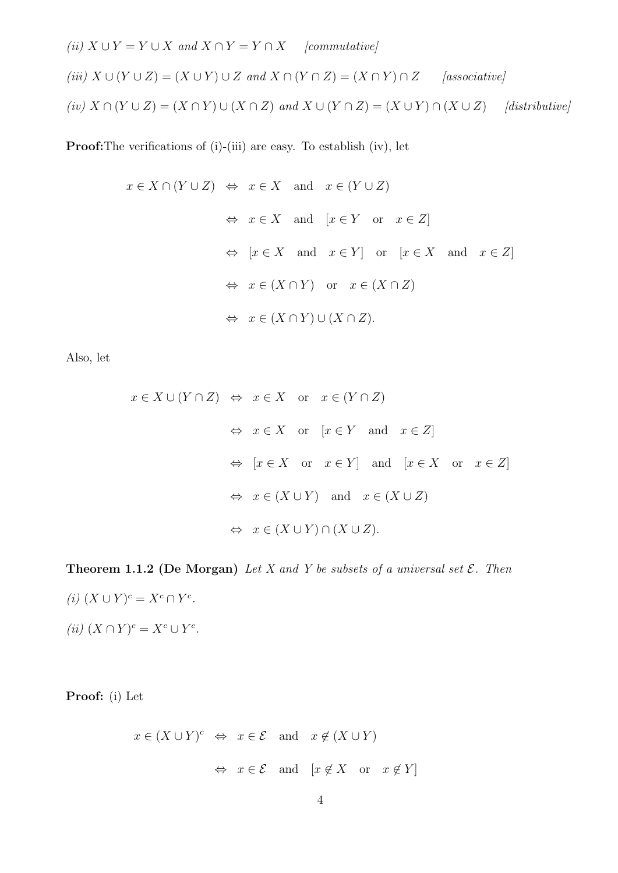(ii)  $X \cup Y = Y \cup X$  and  $X \cap Y = Y \cap X$  [commutative]

$$
(iii) X \cup (Y \cup Z) = (X \cup Y) \cup Z \text{ and } X \cap (Y \cap Z) = (X \cap Y) \cap Z \qquad [associative]
$$
  

$$
(iv) X \cap (Y \cup Z) = (X \cap Y) \cup (X \cap Z) \text{ and } X \cup (Y \cap Z) = (X \cup Y) \cap (X \cup Z) \qquad [distributive]
$$

Proof:The verifications of (i)-(iii) are easy. To establish (iv), let

$$
x \in X \cap (Y \cup Z) \Leftrightarrow x \in X
$$
 and  $x \in (Y \cup Z)$   
\n $\Leftrightarrow x \in X$  and  $[x \in Y \text{ or } x \in Z]$   
\n $\Leftrightarrow [x \in X \text{ and } x \in Y] \text{ or } [x \in X \text{ and } x \in Z]$   
\n $\Leftrightarrow x \in (X \cap Y) \text{ or } x \in (X \cap Z)$   
\n $\Leftrightarrow x \in (X \cap Y) \cup (X \cap Z).$ 

Also, let

$$
x \in X \cup (Y \cap Z) \Leftrightarrow x \in X \text{ or } x \in (Y \cap Z)
$$
  
\n $\Leftrightarrow x \in X \text{ or } [x \in Y \text{ and } x \in Z]$   
\n $\Leftrightarrow [x \in X \text{ or } x \in Y] \text{ and } [x \in X \text{ or } x \in Z]$   
\n $\Leftrightarrow x \in (X \cup Y) \text{ and } x \in (X \cup Z)$   
\n $\Leftrightarrow x \in (X \cup Y) \cap (X \cup Z).$ 

**Theorem 1.1.2 (De Morgan)** Let X and Y be subsets of a universal set  $\mathcal{E}$ . Then

(i)  $(X \cup Y)^c = X^c \cap Y^c$ . (ii)  $(X \cap Y)^c = X^c \cup Y^c$ .

Proof: (i) Let

$$
x \in (X \cup Y)^c \Leftrightarrow x \in \mathcal{E}
$$
 and  $x \notin (X \cup Y)$   
 $\Leftrightarrow x \in \mathcal{E}$  and  $[x \notin X \text{ or } x \notin Y]$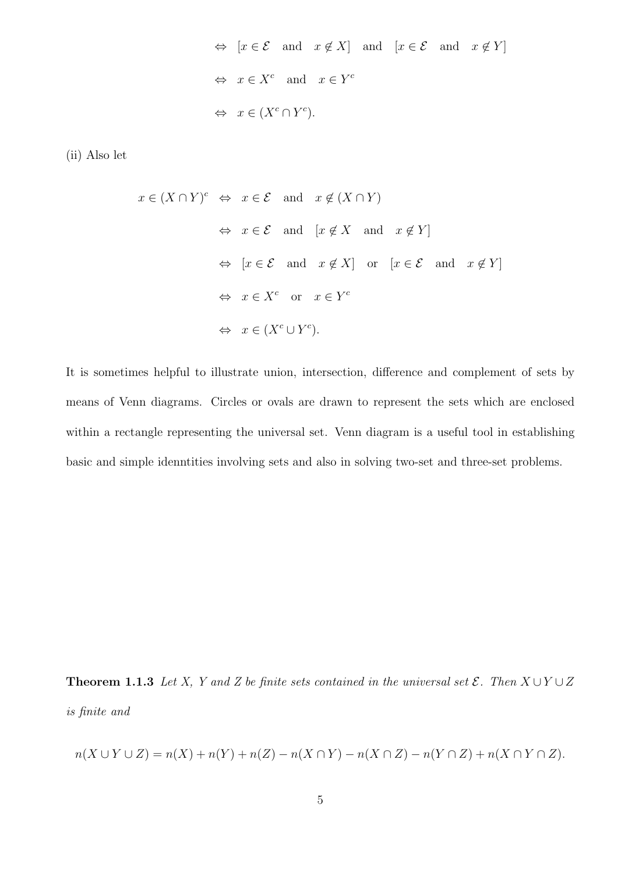$\Leftrightarrow$  [ $x \in \mathcal{E}$  and  $x \notin X$ ] and [ $x \in \mathcal{E}$  and  $x \notin Y$ ]  $\Leftrightarrow x \in X^c$  and  $x \in Y^c$  $\Leftrightarrow x \in (X^c \cap Y^c).$ 

(ii) Also let

$$
x \in (X \cap Y)^c \Leftrightarrow x \in \mathcal{E}
$$
 and  $x \notin (X \cap Y)$   
\n $\Leftrightarrow x \in \mathcal{E}$  and  $[x \notin X \text{ and } x \notin Y]$   
\n $\Leftrightarrow [x \in \mathcal{E} \text{ and } x \notin X] \text{ or } [x \in \mathcal{E} \text{ and } x \notin Y]$   
\n $\Leftrightarrow x \in X^c \text{ or } x \in Y^c$   
\n $\Leftrightarrow x \in (X^c \cup Y^c).$ 

It is sometimes helpful to illustrate union, intersection, difference and complement of sets by means of Venn diagrams. Circles or ovals are drawn to represent the sets which are enclosed within a rectangle representing the universal set. Venn diagram is a useful tool in establishing basic and simple idenntities involving sets and also in solving two-set and three-set problems.

**Theorem 1.1.3** Let X, Y and Z be finite sets contained in the universal set  $\mathcal{E}$ . Then  $X \cup Y \cup Z$ is finite and

$$
n(X \cup Y \cup Z) = n(X) + n(Y) + n(Z) - n(X \cap Y) - n(X \cap Z) - n(Y \cap Z) + n(X \cap Y \cap Z).
$$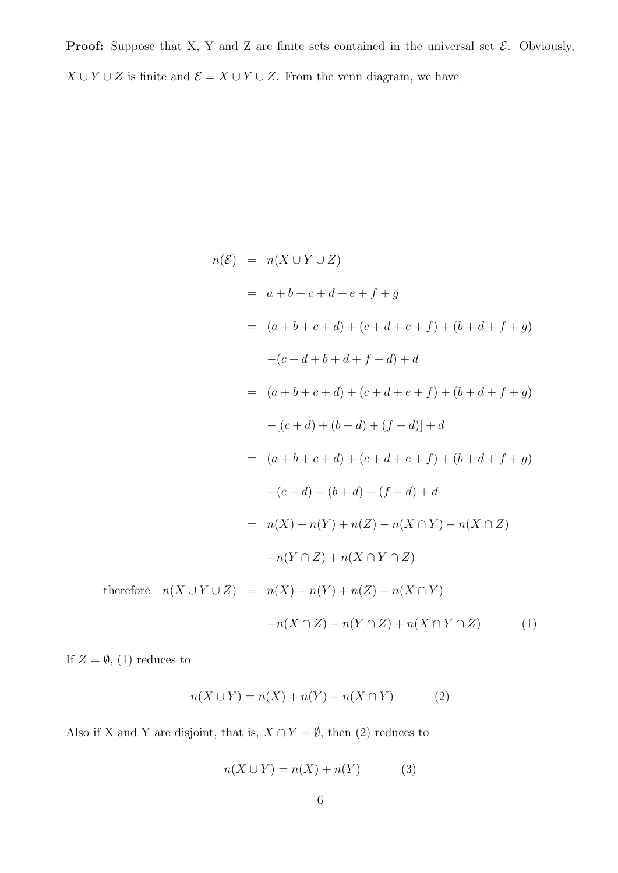**Proof:** Suppose that X, Y and Z are finite sets contained in the universal set  $\mathcal{E}$ . Obviously,  $X \cup Y \cup Z$  is finite and  $\mathcal{E} = X \cup Y \cup Z$ . From the venn diagram, we have

$$
n(\mathcal{E}) = n(X \cup Y \cup Z)
$$
  
=  $a + b + c + d + e + f + g$   
=  $(a + b + c + d) + (c + d + e + f) + (b + d + f + g)$   
 $-(c + d + b + d + f + d) + d$   
=  $(a + b + c + d) + (c + d + e + f) + (b + d + f + g)$   
 $-([c + d) + (b + d) + (f + d)] + d$   
=  $(a + b + c + d) + (c + d + e + f) + (b + d + f + g)$   
 $-(c + d) - (b + d) - (f + d) + d$   
=  $n(X) + n(Y) + n(Z) - n(X \cap Y) - n(X \cap Z)$   
 $-n(Y \cap Z) + n(X \cap Y \cap Z)$   
therefore  $n(X \cup Y \cup Z) = n(X) + n(Y) + n(Z) - n(X \cap Y)$   
 $-n(X \cap Z) - n(Y \cap Z) + n(X \cap Y \cap Z)$  (1)

If  $Z = \emptyset$ , (1) reduces to

$$
n(X \cup Y) = n(X) + n(Y) - n(X \cap Y)
$$
 (2)

Also if X and Y are disjoint, that is,  $X \cap Y = \emptyset$ , then (2) reduces to

$$
n(X \cup Y) = n(X) + n(Y) \tag{3}
$$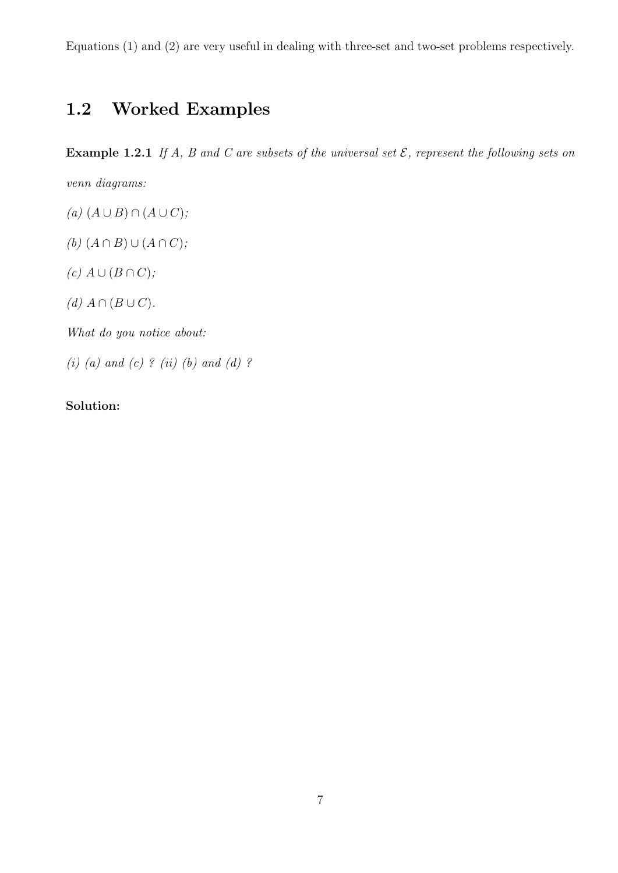Equations (1) and (2) are very useful in dealing with three-set and two-set problems respectively.

## 1.2 Worked Examples

**Example 1.2.1** If A, B and C are subsets of the universal set  $\mathcal{E}$ , represent the following sets on

venn diagrams:

- $(a) (A ∪ B) ∩ (A ∪ C);$
- (b)  $(A \cap B) \cup (A \cap C)$ ;
- $(c) A \cup (B \cap C);$
- (d)  $A \cap (B \cup C)$ .

What do you notice about:

(i) (a) and (c) ? (ii) (b) and (d) ?

#### Solution: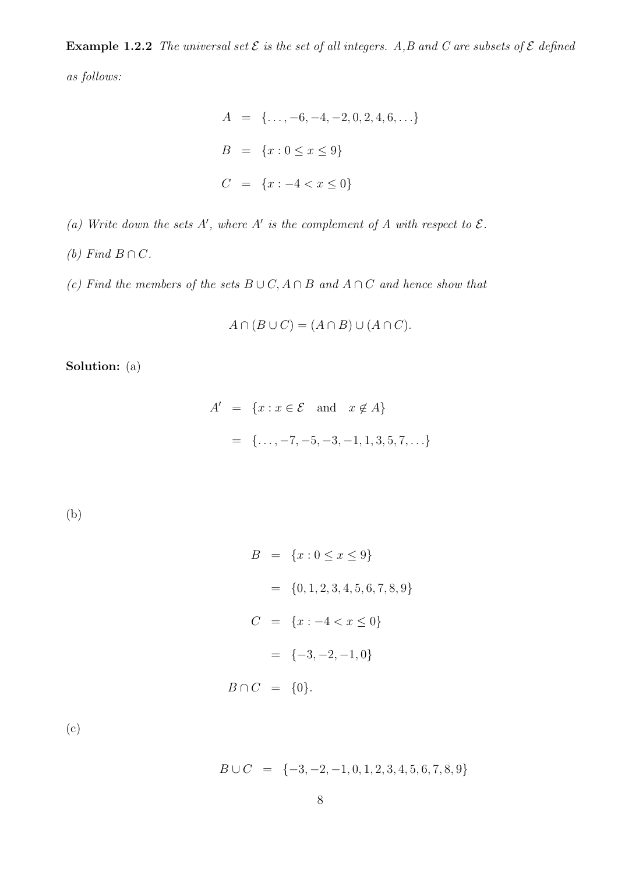**Example 1.2.2** The universal set  $\mathcal{E}$  is the set of all integers. A,B and C are subsets of  $\mathcal{E}$  defined as follows:

$$
A = \{..., -6, -4, -2, 0, 2, 4, 6, ...\}
$$
  

$$
B = \{x : 0 \le x \le 9\}
$$
  

$$
C = \{x : -4 < x \le 0\}
$$

(a) Write down the sets A', where A' is the complement of A with respect to  $\mathcal{E}$ .

(b) Find  $B \cap C$ .

(c) Find the members of the sets  $B \cup C$ ,  $A \cap B$  and  $A \cap C$  and hence show that

 $A \cap (B \cup C) = (A \cap B) \cup (A \cap C).$ 

Solution: (a)

$$
A' = \{x : x \in \mathcal{E} \text{ and } x \notin A\}
$$
  
=  $\{\dots, -7, -5, -3, -1, 1, 3, 5, 7, \dots\}$ 

(b)

$$
B = \{x : 0 \le x \le 9\}
$$
  
=  $\{0, 1, 2, 3, 4, 5, 6, 7, 8, 9\}$   

$$
C = \{x : -4 < x \le 0\}
$$
  
=  $\{-3, -2, -1, 0\}$   

$$
B \cap C = \{0\}.
$$

(c)

$$
B \cup C = \{-3, -2, -1, 0, 1, 2, 3, 4, 5, 6, 7, 8, 9\}
$$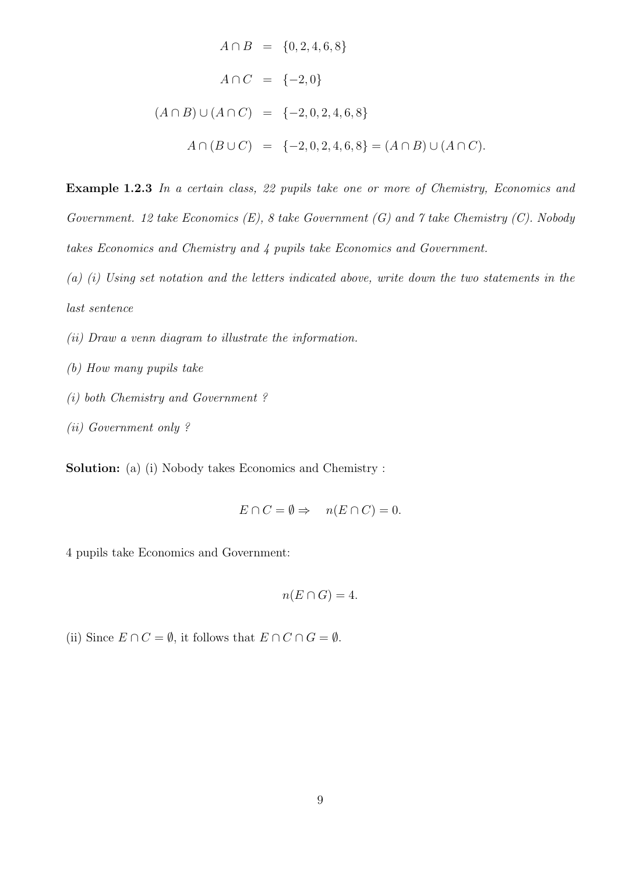$$
A \cap B = \{0, 2, 4, 6, 8\}
$$
  
\n
$$
A \cap C = \{-2, 0\}
$$
  
\n
$$
(A \cap B) \cup (A \cap C) = \{-2, 0, 2, 4, 6, 8\}
$$
  
\n
$$
A \cap (B \cup C) = \{-2, 0, 2, 4, 6, 8\} = (A \cap B) \cup (A \cap C).
$$

Example 1.2.3 In a certain class, 22 pupils take one or more of Chemistry, Economics and Government. 12 take Economics  $(E)$ , 8 take Government  $(G)$  and 7 take Chemistry  $(C)$ . Nobody takes Economics and Chemistry and 4 pupils take Economics and Government.

(a) (i) Using set notation and the letters indicated above, write down the two statements in the last sentence

- (ii) Draw a venn diagram to illustrate the information.
- (b) How many pupils take
- (i) both Chemistry and Government ?
- (ii) Government only ?

Solution: (a) (i) Nobody takes Economics and Chemistry :

$$
E \cap C = \emptyset \Rightarrow n(E \cap C) = 0.
$$

4 pupils take Economics and Government:

$$
n(E \cap G) = 4.
$$

(ii) Since  $E \cap C = \emptyset$ , it follows that  $E \cap C \cap G = \emptyset$ .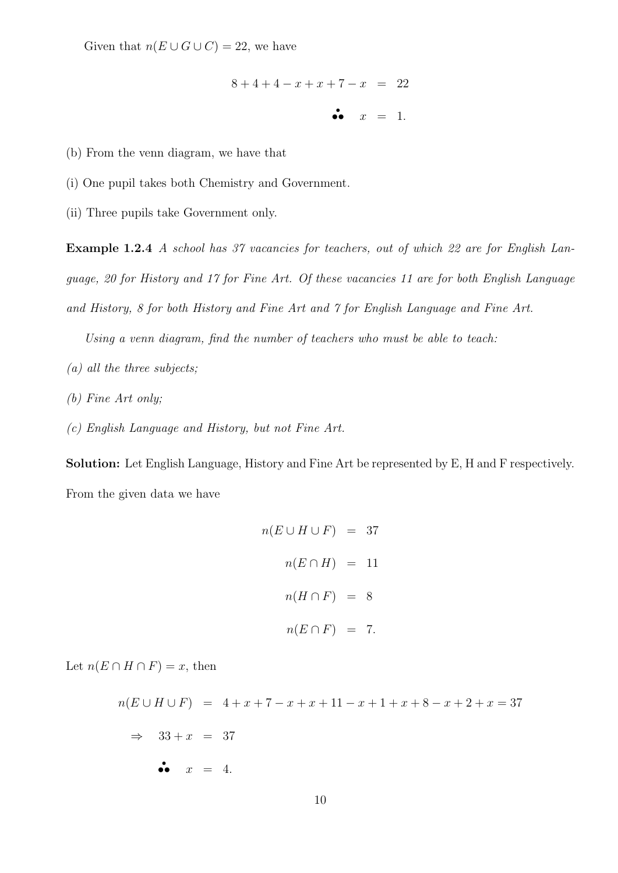Given that  $n(E \cup G \cup C) = 22$ , we have

$$
8 + 4 + 4 - x + x + 7 - x = 22
$$

 $\ddot{\bullet}$  $x = 1$ .

(b) From the venn diagram, we have that

(i) One pupil takes both Chemistry and Government.

(ii) Three pupils take Government only.

Example 1.2.4 A school has 37 vacancies for teachers, out of which 22 are for English Language, 20 for History and 17 for Fine Art. Of these vacancies 11 are for both English Language and History, 8 for both History and Fine Art and 7 for English Language and Fine Art.

Using a venn diagram, find the number of teachers who must be able to teach:

- $(a)$  all the three subjects;
- (b) Fine Art only;
- (c) English Language and History, but not Fine Art.

Solution: Let English Language, History and Fine Art be represented by E, H and F respectively. From the given data we have

$$
n(E \cup H \cup F) = 37
$$
  

$$
n(E \cap H) = 11
$$
  

$$
n(H \cap F) = 8
$$
  

$$
n(E \cap F) = 7.
$$

Let  $n(E \cap H \cap F) = x$ , then

 $n(E \cup H \cup F) = 4 + x + 7 - x + x + 11 - x + 1 + x + 8 - x + 2 + x = 37$  $\Rightarrow$  33 + x = 37  $\bullet \bullet \quad x = 4.$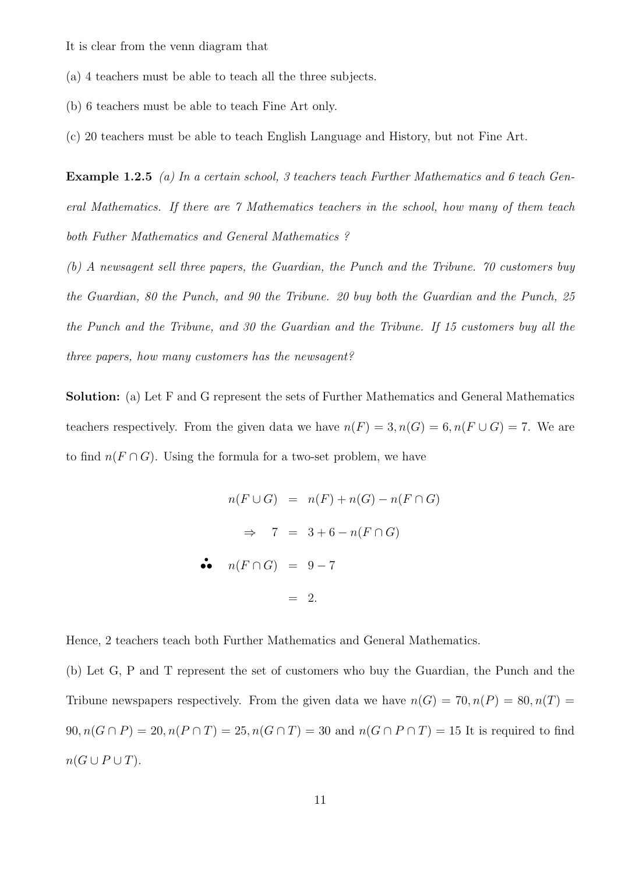It is clear from the venn diagram that

(a) 4 teachers must be able to teach all the three subjects.

- (b) 6 teachers must be able to teach Fine Art only.
- (c) 20 teachers must be able to teach English Language and History, but not Fine Art.

**Example 1.2.5** (a) In a certain school, 3 teachers teach Further Mathematics and 6 teach General Mathematics. If there are 7 Mathematics teachers in the school, how many of them teach both Futher Mathematics and General Mathematics ?

(b) A newsagent sell three papers, the Guardian, the Punch and the Tribune. 70 customers buy the Guardian, 80 the Punch, and 90 the Tribune. 20 buy both the Guardian and the Punch, 25 the Punch and the Tribune, and 30 the Guardian and the Tribune. If 15 customers buy all the three papers, how many customers has the newsagent?

Solution: (a) Let F and G represent the sets of Further Mathematics and General Mathematics teachers respectively. From the given data we have  $n(F) = 3, n(G) = 6, n(F \cup G) = 7$ . We are to find  $n(F \cap G)$ . Using the formula for a two-set problem, we have

$$
n(F \cup G) = n(F) + n(G) - n(F \cap G)
$$
  
\n
$$
\Rightarrow 7 = 3 + 6 - n(F \cap G)
$$
  
\n• 
$$
n(F \cap G) = 9 - 7
$$
  
\n
$$
= 2.
$$

Hence, 2 teachers teach both Further Mathematics and General Mathematics.

•

(b) Let G, P and T represent the set of customers who buy the Guardian, the Punch and the Tribune newspapers respectively. From the given data we have  $n(G) = 70, n(P) = 80, n(T) =$  $90, n(G \cap P) = 20, n(P \cap T) = 25, n(G \cap T) = 30$  and  $n(G \cap P \cap T) = 15$  It is required to find  $n(G \cup P \cup T)$ .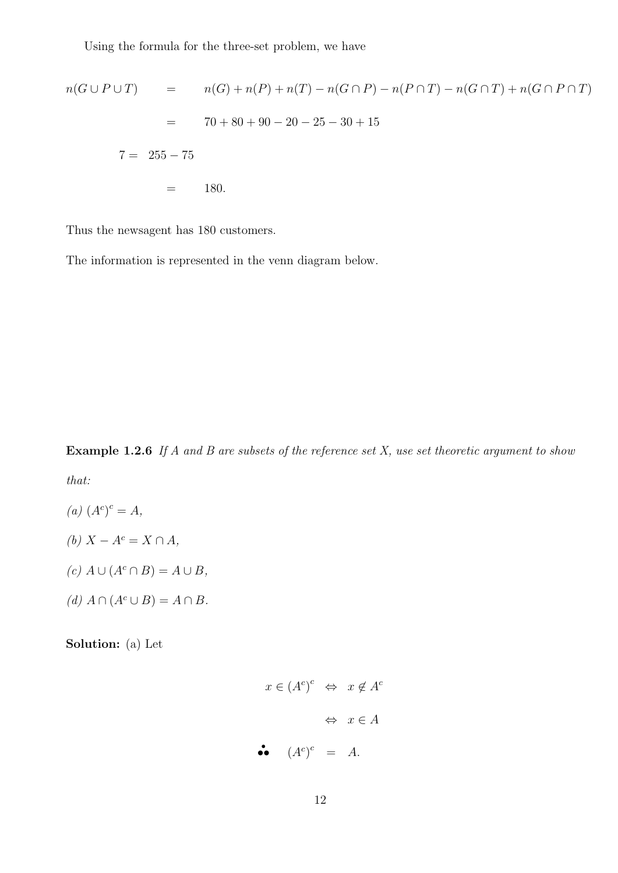Using the formula for the three-set problem, we have

$$
n(G \cup P \cup T) = n(G) + n(P) + n(T) - n(G \cap P) - n(P \cap T) - n(G \cap T) + n(G \cap P \cap T)
$$
  
= 70 + 80 + 90 - 20 - 25 - 30 + 15  
7 = 255 - 75  
= 180.

Thus the newsagent has 180 customers.

The information is represented in the venn diagram below.

**Example 1.2.6** If A and B are subsets of the reference set X, use set theoretic argument to show that:

$$
(a) (A^c)^c = A,
$$

- (b)  $X A^c = X \cap A$ ,
- $(c) A \cup (A^c \cap B) = A \cup B$ ,
- (d)  $A \cap (A^c \cup B) = A \cap B$ .

Solution: (a) Let

$$
x \in (A^c)^c \iff x \notin A^c
$$
  

$$
\iff x \in A
$$
  
••  $(A^c)^c = A$ .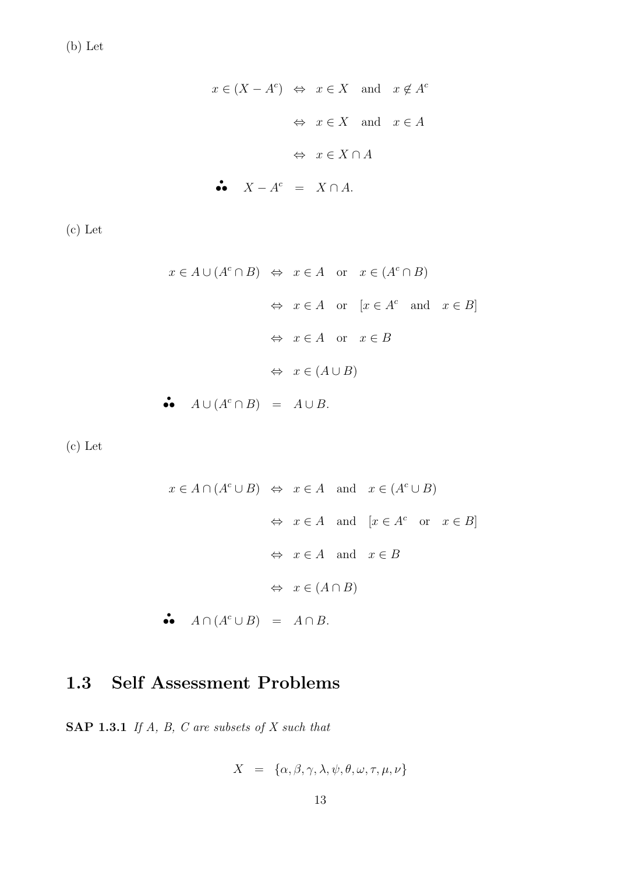$$
x \in (X - A^c) \Leftrightarrow x \in X
$$
 and  $x \notin A^c$   
 $\Leftrightarrow x \in X$  and  $x \in A$   
 $\Leftrightarrow x \in X \cap A$   
 $\therefore X - A^c = X \cap A$ .

(c) Let

$$
x \in A \cup (A^c \cap B) \Leftrightarrow x \in A \text{ or } x \in (A^c \cap B)
$$
  
\n $\Leftrightarrow x \in A \text{ or } [x \in A^c \text{ and } x \in B]$   
\n $\Leftrightarrow x \in A \text{ or } x \in B$   
\n $\Leftrightarrow x \in (A \cup B)$   
\n $\therefore A \cup (A^c \cap B) = A \cup B.$ 

(c) Let

$$
x \in A \cap (A^c \cup B) \iff x \in A \text{ and } x \in (A^c \cup B)
$$
  
\n $\iff x \in A \text{ and } [x \in A^c \text{ or } x \in B]$   
\n $\iff x \in A \text{ and } x \in B$   
\n $\iff x \in (A \cap B)$   
\n $\bullet \quad A \cap (A^c \cup B) = A \cap B.$ 

## 1.3 Self Assessment Problems

SAP 1.3.1 If  $A$ ,  $B$ ,  $C$  are subsets of  $X$  such that

$$
X \ = \ \{\alpha, \beta, \gamma, \lambda, \psi, \theta, \omega, \tau, \mu, \nu \}
$$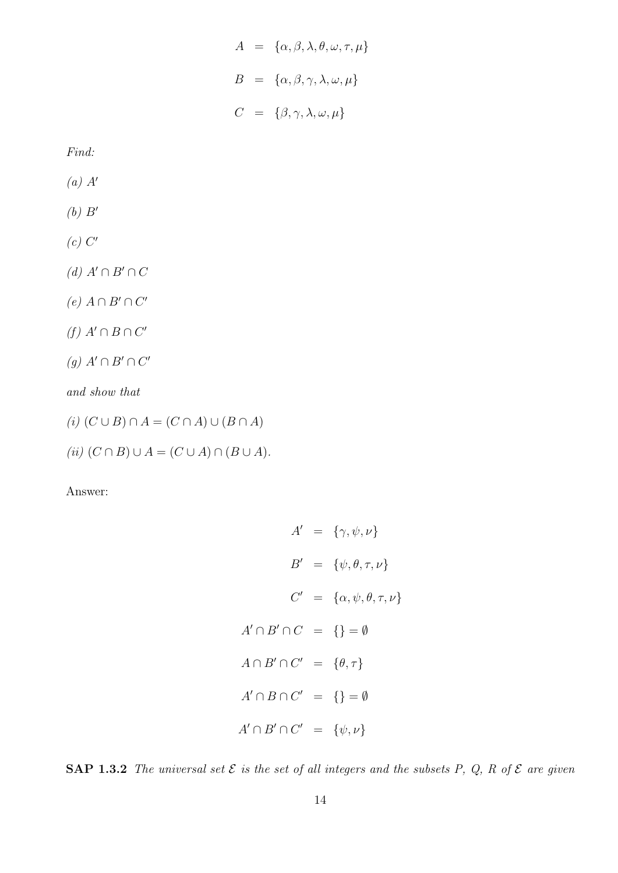$$
A = \{\alpha, \beta, \lambda, \theta, \omega, \tau, \mu\}
$$

$$
B = \{\alpha, \beta, \gamma, \lambda, \omega, \mu\}
$$

$$
C = \{\beta, \gamma, \lambda, \omega, \mu\}
$$

Find:

- $(a)$   $A'$
- $(b)$   $B'$
- $(c)$   $C'$

(d)  $A' \cap B' \cap C$ 

- $(e)$   $A \cap B' \cap C'$
- $(f)$   $A' \cap B \cap C'$
- $(g)$   $A' \cap B' \cap C'$

and show that

- (i)  $(C \cup B) \cap A = (C \cap A) \cup (B \cap A)$
- (ii)  $(C \cap B) \cup A = (C \cup A) \cap (B \cup A).$

Answer:

 $A' = \{\gamma, \psi, \nu\}$  $B' = \{\psi, \theta, \tau, \nu\}$  $C' = {\alpha, \psi, \theta, \tau, \nu}$  $A' \cap B' \cap C = \{\} = \emptyset$  $A \cap B' \cap C' = \{\theta, \tau\}$  $A' \cap B \cap C' = \{\} = \emptyset$  $A' \cap B' \cap C' = \{\psi, \nu\}$ 

SAP 1.3.2 The universal set  $\mathcal E$  is the set of all integers and the subsets P, Q, R of  $\mathcal E$  are given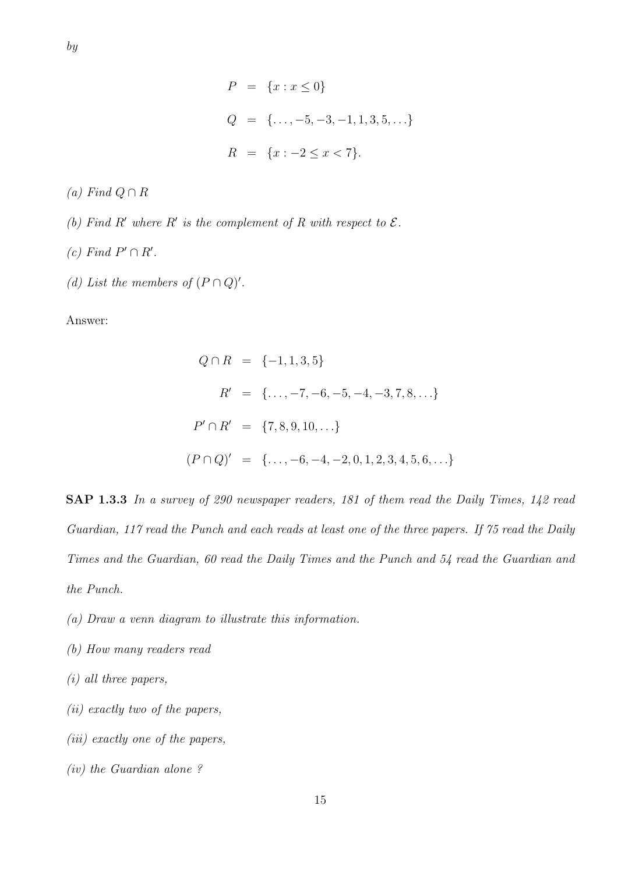$$
P = \{x : x \le 0\}
$$
  
\n
$$
Q = \{\dots, -5, -3, -1, 1, 3, 5, \dots\}
$$
  
\n
$$
R = \{x : -2 \le x < 7\}.
$$

(a) Find  $Q \cap R$ 

- (b) Find R' where R' is the complement of R with respect to  $\mathcal{E}.$
- (c) Find  $P' \cap R'$ .
- (d) List the members of  $(P \cap Q)'$ .

Answer:

$$
Q \cap R = \{-1, 1, 3, 5\}
$$
  
\n
$$
R' = \{\ldots, -7, -6, -5, -4, -3, 7, 8, \ldots\}
$$
  
\n
$$
P' \cap R' = \{7, 8, 9, 10, \ldots\}
$$
  
\n
$$
(P \cap Q)' = \{\ldots, -6, -4, -2, 0, 1, 2, 3, 4, 5, 6, \ldots\}
$$

SAP 1.3.3 In a survey of 290 newspaper readers, 181 of them read the Daily Times, 142 read Guardian, 117 read the Punch and each reads at least one of the three papers. If 75 read the Daily Times and the Guardian, 60 read the Daily Times and the Punch and 54 read the Guardian and the Punch.

- (a) Draw a venn diagram to illustrate this information.
- (b) How many readers read
- (i) all three papers,
- (ii) exactly two of the papers,
- (iii) exactly one of the papers,
- (iv) the Guardian alone ?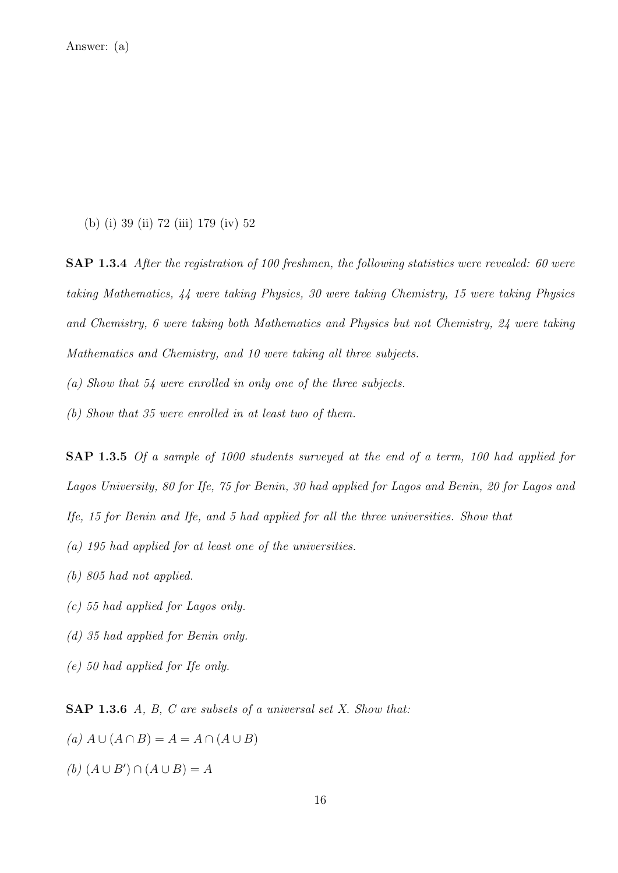(b) (i) 39 (ii) 72 (iii) 179 (iv) 52

SAP 1.3.4 After the registration of 100 freshmen, the following statistics were revealed: 60 were taking Mathematics, 44 were taking Physics, 30 were taking Chemistry, 15 were taking Physics and Chemistry, 6 were taking both Mathematics and Physics but not Chemistry, 24 were taking Mathematics and Chemistry, and 10 were taking all three subjects.

(a) Show that 54 were enrolled in only one of the three subjects.

(b) Show that 35 were enrolled in at least two of them.

SAP 1.3.5 Of a sample of 1000 students surveyed at the end of a term, 100 had applied for Lagos University, 80 for Ife, 75 for Benin, 30 had applied for Lagos and Benin, 20 for Lagos and Ife, 15 for Benin and Ife, and 5 had applied for all the three universities. Show that

- (a) 195 had applied for at least one of the universities.
- (b) 805 had not applied.
- (c) 55 had applied for Lagos only.
- (d) 35 had applied for Benin only.
- (e) 50 had applied for Ife only.

SAP 1.3.6 A, B, C are subsets of a universal set X. Show that:

 $(a) A \cup (A \cap B) = A = A \cap (A \cup B)$ 

(b)  $(A \cup B') \cap (A \cup B) = A$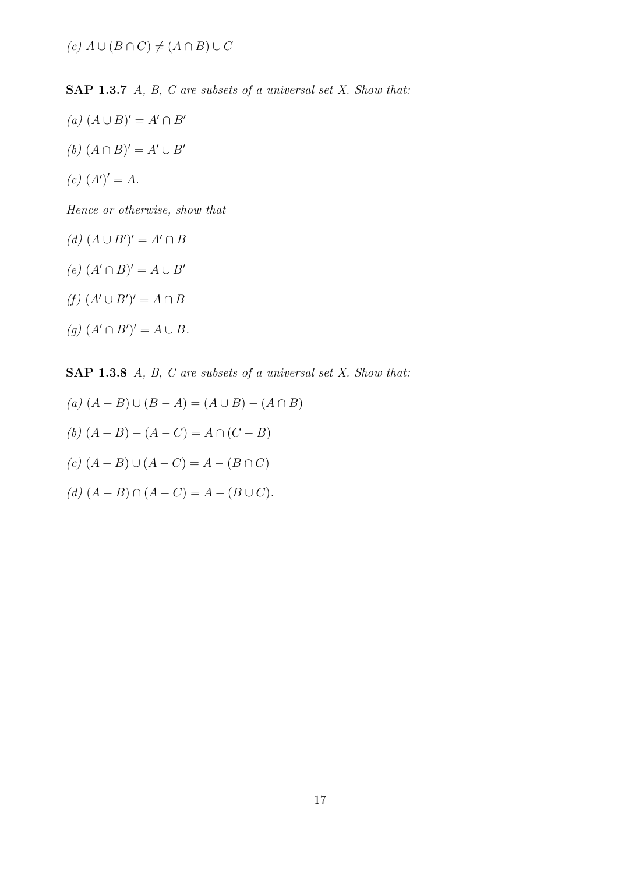SAP 1.3.7 A, B, C are subsets of a universal set X. Show that:

- $(a) (A ∪ B)' = A' ∩ B'$
- (b)  $(A \cap B)' = A' \cup B'$
- $(c) (A')' = A.$

Hence or otherwise, show that

- $(d)$   $(A \cup B')' = A' \cap B$
- $(e)$   $(A' \cap B)' = A \cup B'$
- $(f)$   $(A' \cup B')' = A \cap B$
- $(g)$   $(A' \cap B')' = A \cup B$ .

SAP 1.3.8 A, B, C are subsets of a universal set X. Show that:

- $(a) (A B) ∪ (B A) = (A ∪ B) (A ∩ B)$
- (b)  $(A B) (A C) = A \cap (C B)$
- $(c)$   $(A B)$  ∪  $(A C) = A (B ∩ C)$
- (d)  $(A B) \cap (A C) = A (B \cup C)$ .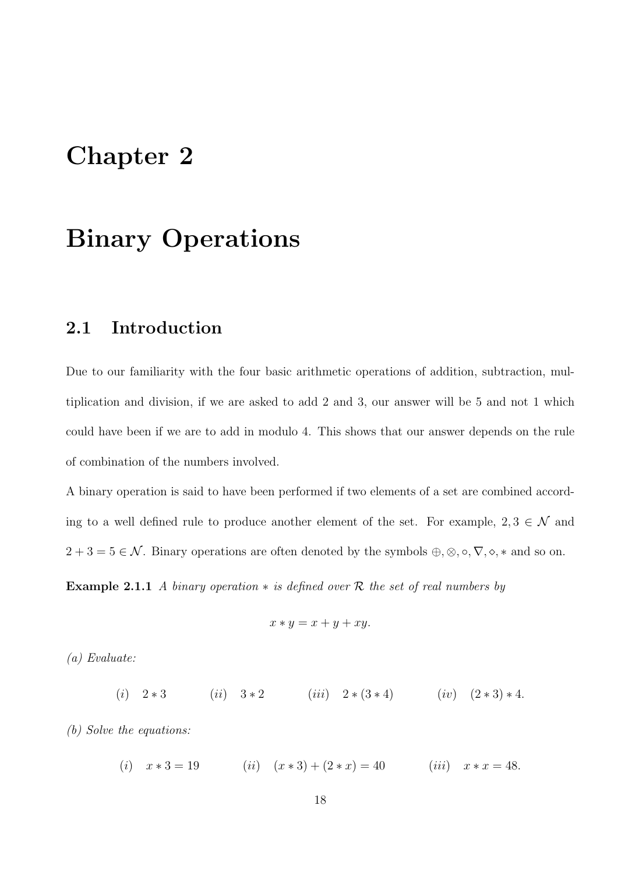## Chapter 2

# Binary Operations

#### 2.1 Introduction

Due to our familiarity with the four basic arithmetic operations of addition, subtraction, multiplication and division, if we are asked to add 2 and 3, our answer will be 5 and not 1 which could have been if we are to add in modulo 4. This shows that our answer depends on the rule of combination of the numbers involved.

A binary operation is said to have been performed if two elements of a set are combined according to a well defined rule to produce another element of the set. For example,  $2, 3 \in \mathcal{N}$  and  $2 + 3 = 5 \in \mathcal{N}$ . Binary operations are often denoted by the symbols  $\oplus, \otimes, \circ, \nabla, \diamond, *$  and so on.

**Example 2.1.1** A binary operation  $*$  is defined over R the set of real numbers by

$$
x * y = x + y + xy.
$$

(a) Evaluate:

(i)  $2 * 3$  (ii)  $3 * 2$  (iii)  $2 * (3 * 4)$  (iv)  $(2 * 3) * 4$ .

(b) Solve the equations:

(i)  $x * 3 = 19$  (ii)  $(x * 3) + (2 * x) = 40$  (iii)  $x * x = 48$ .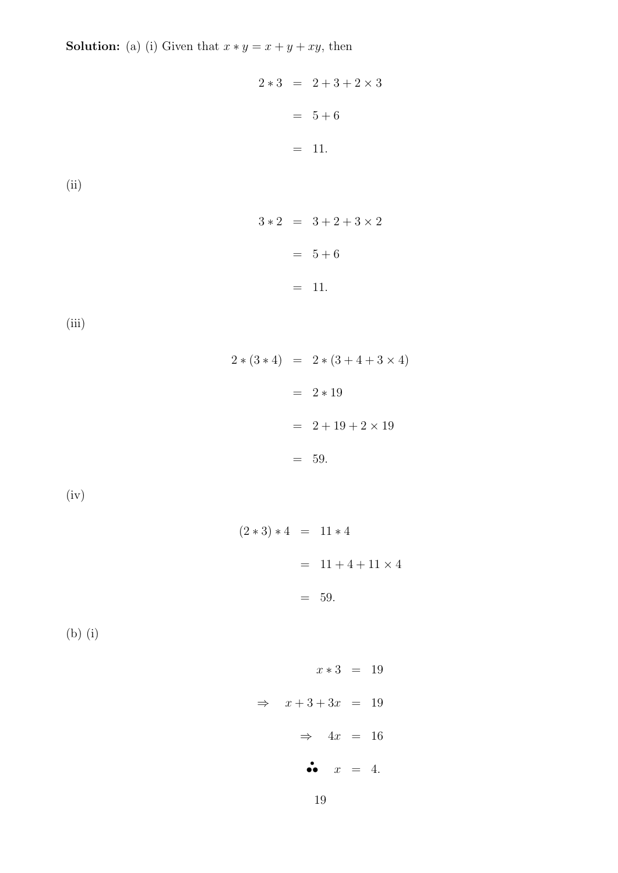**Solution:** (a) (i) Given that  $x * y = x + y + xy$ , then

$$
2 * 3 = 2 + 3 + 2 \times 3
$$
  
= 5 + 6  
= 11.  
(ii)  

$$
3 * 2 = 3 + 2 + 3 \times 2
$$
  
= 5 + 6  
= 11.  
(iii)  

$$
2 * (3 * 4) = 2 * (3 + 4 + 3 \times 4)
$$

$$
= 2 * 19
$$

$$
= 2 + 19 + 2 \times 19
$$

$$
= 59.
$$

(iv)

$$
(2 * 3) * 4 = 11 * 4
$$
  
= 11 + 4 + 11 × 4  
= 59.

(b) (i)

$$
x * 3 = 19
$$
\n
$$
\Rightarrow x + 3 + 3x = 19
$$
\n
$$
\Rightarrow 4x = 16
$$
\n
$$
\bullet \bullet x = 4.
$$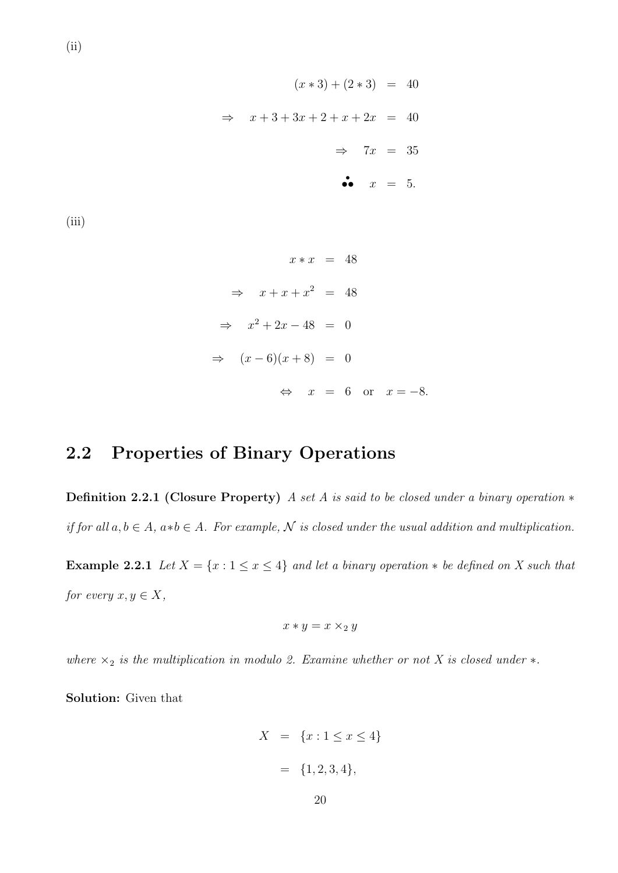$$
(x * 3) + (2 * 3) = 40
$$
  

$$
\Rightarrow x + 3 + 3x + 2 + x + 2x = 40
$$
  

$$
\Rightarrow 7x = 35
$$
  
•  $x = 5$ .

 $(iii)$ 

(ii)

$$
x * x = 48
$$
  
\n
$$
\Rightarrow x + x + x^2 = 48
$$
  
\n
$$
\Rightarrow x^2 + 2x - 48 = 0
$$
  
\n
$$
\Rightarrow (x - 6)(x + 8) = 0
$$
  
\n
$$
\Leftrightarrow x = 6 \text{ or } x = -8.
$$

## 2.2 Properties of Binary Operations

Definition 2.2.1 (Closure Property) A set A is said to be closed under a binary operation  $*$ if for all  $a, b \in A$ ,  $a * b \in A$ . For example, N is closed under the usual addition and multiplication.

Example 2.2.1 Let  $X = \{x : 1 \le x \le 4\}$  and let a binary operation  $*$  be defined on X such that for every  $x, y \in X$ ,

$$
x * y = x \times_2 y
$$

where  $\times_2$  is the multiplication in modulo 2. Examine whether or not X is closed under  $\ast$ .

Solution: Given that

$$
X = \{x : 1 \le x \le 4\}
$$

$$
= \{1, 2, 3, 4\},
$$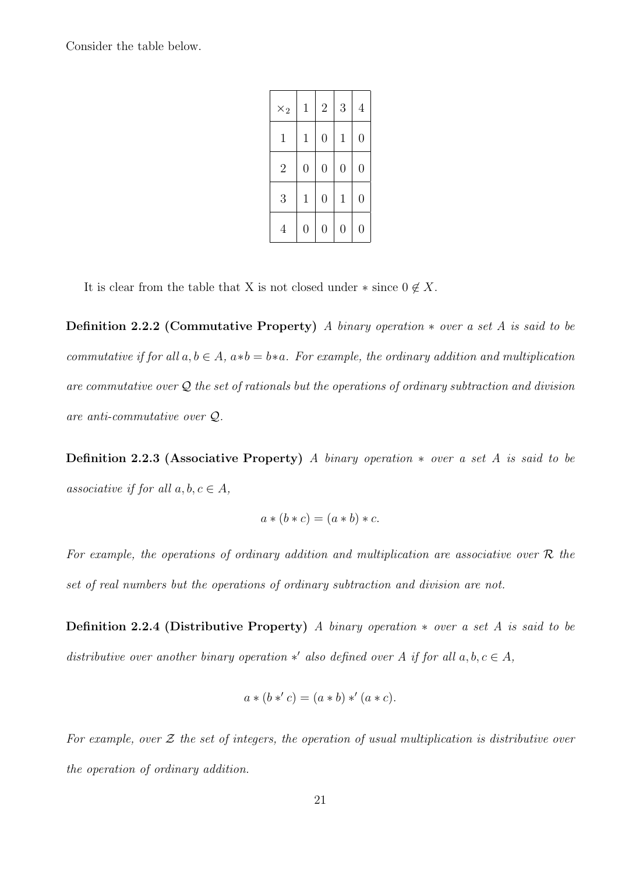Consider the table below.

| $\times_2$     | $\mathbf 1$    | $\overline{2}$   | 3              | $\overline{4}$   |
|----------------|----------------|------------------|----------------|------------------|
| $\mathbf 1$    | $\mathbf{1}$   | $\overline{0}$   | $\mathbf{1}$   | $\overline{0}$   |
| $\overline{2}$ | $\overline{0}$ | $\overline{0}$   | $\overline{0}$ | $\overline{0}$   |
| 3              | $\mathbf{1}$   | $\overline{0}$   | $\mathbf{1}$   | $\overline{0}$   |
| 4              | 0              | $\hspace{.0cm}0$ | 0              | $\hspace{.0cm}0$ |

It is clear from the table that X is not closed under  $*$  since  $0 \notin X$ .

Definition 2.2.2 (Commutative Property) A binary operation  $*$  over a set A is said to be commutative if for all  $a, b \in A$ ,  $a * b = b * a$ . For example, the ordinary addition and multiplication are commutative over  $\mathcal Q$  the set of rationals but the operations of ordinary subtraction and division are anti-commutative over Q.

Definition 2.2.3 (Associative Property) A binary operation  $*$  over a set A is said to be associative if for all  $a, b, c \in A$ ,

$$
a * (b * c) = (a * b) * c.
$$

For example, the operations of ordinary addition and multiplication are associative over  $R$  the set of real numbers but the operations of ordinary subtraction and division are not.

Definition 2.2.4 (Distributive Property) A binary operation  $*$  over a set A is said to be distributive over another binary operation \*' also defined over A if for all  $a, b, c \in A$ ,

$$
a * (b * c) = (a * b) * (a * c).
$$

For example, over  $\mathcal Z$  the set of integers, the operation of usual multiplication is distributive over the operation of ordinary addition.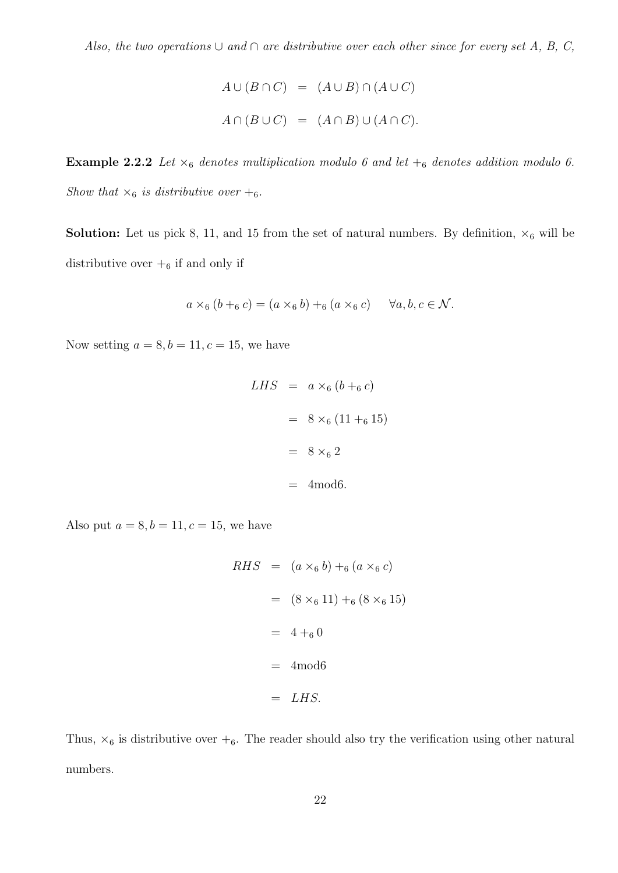$$
A \cup (B \cap C) = (A \cup B) \cap (A \cup C)
$$
  

$$
A \cap (B \cup C) = (A \cap B) \cup (A \cap C).
$$

**Example 2.2.2** Let  $\times_6$  denotes multiplication modulo 6 and let  $+_6$  denotes addition modulo 6. Show that  $\times_6$  is distributive over  $+_6$ .

**Solution:** Let us pick 8, 11, and 15 from the set of natural numbers. By definition,  $\times_6$  will be distributive over  $+$ <sub>6</sub> if and only if

$$
a \times_6 (b +_6 c) = (a \times_6 b) +_6 (a \times_6 c) \quad \forall a, b, c \in \mathcal{N}.
$$

Now setting  $a = 8, b = 11, c = 15$ , we have

$$
LHS = a \times_6 (b +_6 c)
$$

$$
= 8 \times_6 (11 +_6 15)
$$

$$
= 8 \times_6 2
$$

$$
= 4 \text{mod} 6.
$$

Also put  $a = 8, b = 11, c = 15$ , we have

$$
RHS = (a \times_6 b) +_6 (a \times_6 c)
$$
  
= (8 ×\_6 11) +\_6 (8 ×\_6 15)  
= 4 +\_6 0  
= 4 \text{mod} 6  
= LHS.

Thus,  $\times_6$  is distributive over  $+_6$ . The reader should also try the verification using other natural numbers.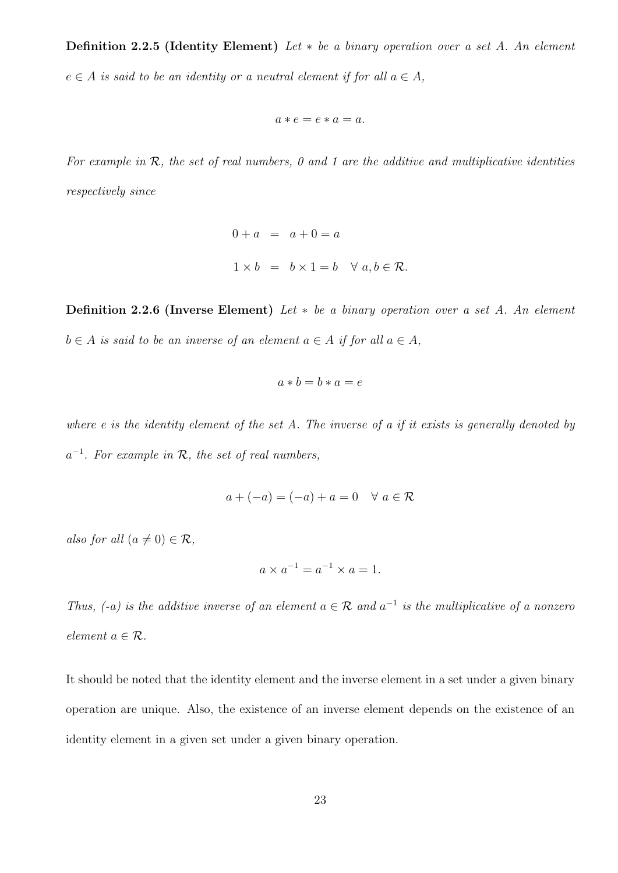Definition 2.2.5 (Identity Element) Let  $*$  be a binary operation over a set A. An element  $e \in A$  is said to be an identity or a neutral element if for all  $a \in A$ ,

$$
a\ast e=e\ast a=a.
$$

For example in  $R$ , the set of real numbers, 0 and 1 are the additive and multiplicative identities respectively since

$$
0 + a = a + 0 = a
$$
  

$$
1 \times b = b \times 1 = b \quad \forall a, b \in \mathcal{R}.
$$

**Definition 2.2.6 (Inverse Element)** Let  $*$  be a binary operation over a set A. An element  $b \in A$  is said to be an inverse of an element  $a \in A$  if for all  $a \in A$ ,

$$
a * b = b * a = e
$$

where e is the identity element of the set A. The inverse of a if it exists is generally denoted by  $a^{-1}$ . For example in  $\mathcal{R}$ , the set of real numbers,

$$
a + (-a) = (-a) + a = 0 \quad \forall \ a \in \mathcal{R}
$$

also for all  $(a \neq 0) \in \mathcal{R}$ ,

$$
a \times a^{-1} = a^{-1} \times a = 1.
$$

Thus,  $(-a)$  is the additive inverse of an element  $a \in \mathcal{R}$  and  $a^{-1}$  is the multiplicative of a nonzero element  $a \in \mathcal{R}$ .

It should be noted that the identity element and the inverse element in a set under a given binary operation are unique. Also, the existence of an inverse element depends on the existence of an identity element in a given set under a given binary operation.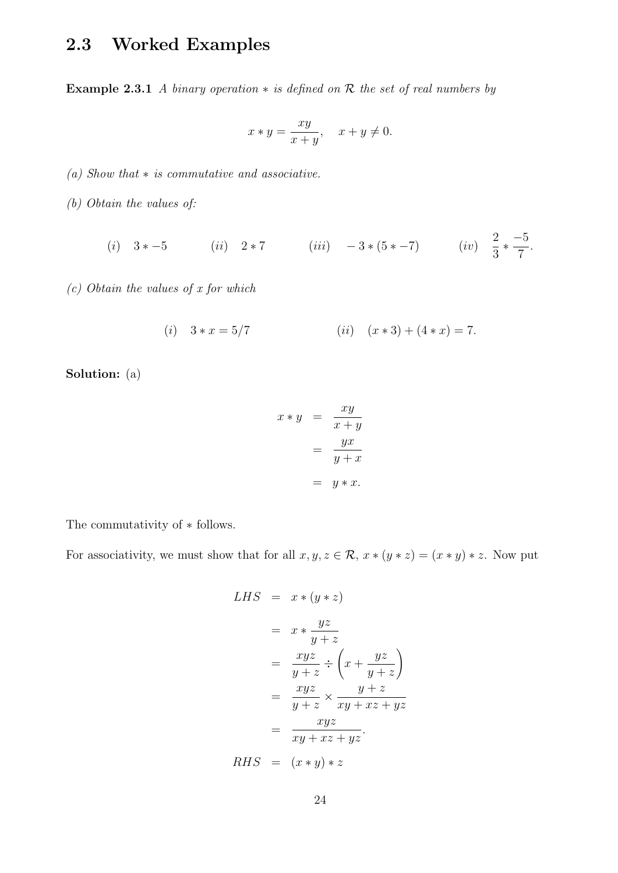### 2.3 Worked Examples

Example 2.3.1 A binary operation  $*$  is defined on  $R$  the set of real numbers by

$$
x * y = \frac{xy}{x+y}, \quad x + y \neq 0.
$$

(a) Show that  $*$  is commutative and associative.

(b) Obtain the values of:

(i)  $3 * -5$  (ii)  $2 * 7$  (iii)  $-3 * (5 * -7)$  (iv)  $\frac{2}{2}$ 3  $*\frac{-5}{7}$ 7 .

(c) Obtain the values of x for which

(i) 
$$
3 * x = 5/7
$$
 (ii)  $(x * 3) + (4 * x) = 7$ .

Solution: (a)

$$
x * y = \frac{xy}{x + y}
$$

$$
= \frac{yx}{y + x}
$$

$$
= y * x.
$$

The commutativity of ∗ follows.

For associativity, we must show that for all  $x, y, z \in \mathcal{R}$ ,  $x * (y * z) = (x * y) * z$ . Now put

LHS = 
$$
x * (y * z)
$$
  
\n=  $x * \frac{yz}{y + z}$   
\n=  $\frac{xyz}{y + z} \div (x + \frac{yz}{y + z})$   
\n=  $\frac{xyz}{y + z} \times \frac{y + z}{xy + xz + yz}$   
\n=  $\frac{xyz}{xy + xz + yz}$ .  
\nRHS =  $(x * y) * z$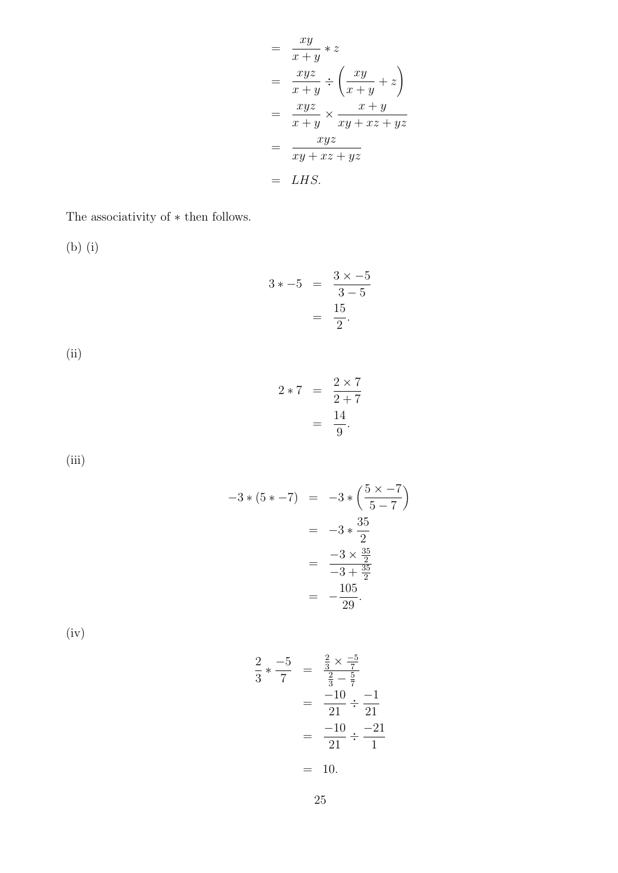$$
= \frac{xy}{x+y} * z
$$
  
\n
$$
= \frac{xyz}{x+y} \div \left(\frac{xy}{x+y} + z\right)
$$
  
\n
$$
= \frac{xyz}{x+y} \times \frac{x+y}{xy+xz+yz}
$$
  
\n
$$
= \frac{xyz}{xy+xz+yz}
$$
  
\n
$$
= LHS.
$$

The associativity of  $\ast$  then follows.

(b) (i)

$$
3 * -5 = \frac{3 \times -5}{3 - 5} = \frac{15}{2}.
$$

(ii)

$$
2 \times 7 = \frac{2 \times 7}{2 + 7}
$$

$$
= \frac{14}{9}.
$$

(iii)

$$
-3*(5*-7) = -3*\left(\frac{5\times-7}{5-7}\right)
$$
  
= -3\*\frac{35}{2}  
=  $\frac{-3\times\frac{35}{2}}{-3+\frac{35}{2}}$   
=  $\frac{-105}{-29}$ .

(iv)

$$
\frac{2}{3} \times \frac{-5}{7} = \frac{\frac{2}{3} \times \frac{-5}{7}}{\frac{2}{3} - \frac{5}{7}}
$$
  
= 
$$
\frac{-10}{21} \div \frac{-1}{21}
$$
  
= 
$$
\frac{-10}{21} \div \frac{-21}{1}
$$
  
= 10.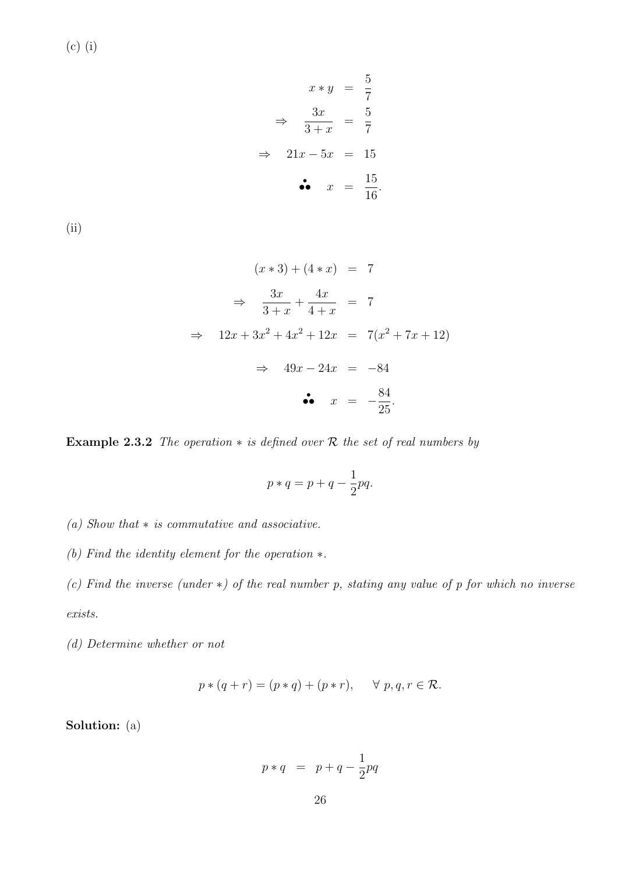(c) (i)

$$
x * y = \frac{5}{7}
$$

$$
\Rightarrow \frac{3x}{3+x} = \frac{5}{7}
$$

$$
\Rightarrow 21x - 5x = 15
$$

$$
\bullet \bullet \quad x = \frac{15}{16}
$$

.

(ii)

$$
(x * 3) + (4 * x) = 7
$$
  
\n
$$
\Rightarrow \frac{3x}{3+x} + \frac{4x}{4+x} = 7
$$
  
\n
$$
\Rightarrow 12x + 3x^2 + 4x^2 + 12x = 7(x^2 + 7x + 12)
$$
  
\n
$$
\Rightarrow 49x - 24x = -84
$$
  
\n
$$
\bullet \quad x = -\frac{84}{25}.
$$

Example 2.3.2 The operation  $*$  is defined over R the set of real numbers by

$$
p * q = p + q - \frac{1}{2}pq.
$$

(a) Show that ∗ is commutative and associative.

(b) Find the identity element for the operation ∗.

(c) Find the inverse (under  $\ast$ ) of the real number p, stating any value of p for which no inverse exists.

(d) Determine whether or not

$$
p * (q + r) = (p * q) + (p * r), \quad \forall p, q, r \in \mathcal{R}.
$$

Solution: (a)

$$
p*q \;\;=\;\; p+q-\frac{1}{2}pq
$$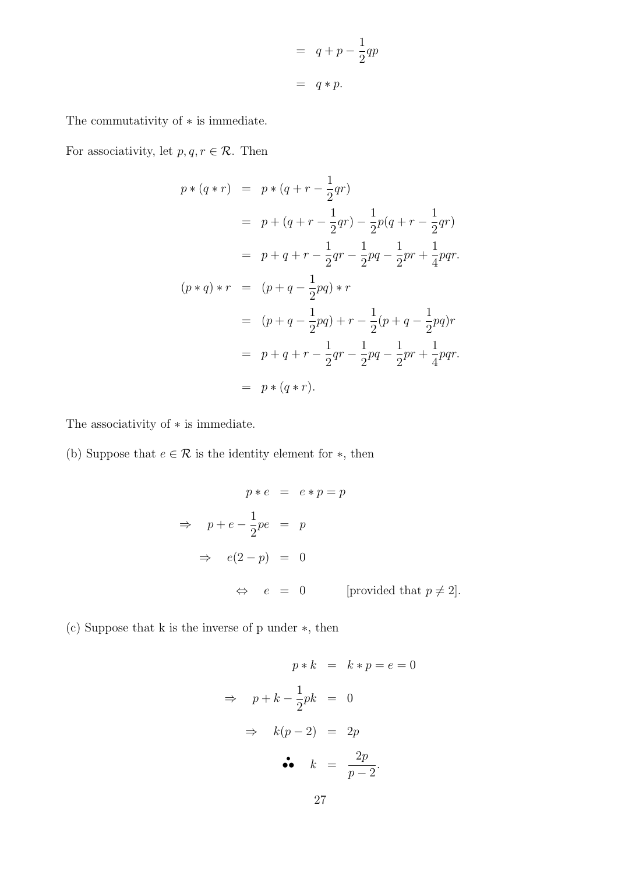$$
= q + p - \frac{1}{2}qp
$$

$$
= q * p.
$$

The commutativity of ∗ is immediate.

For associativity, let  $p, q, r \in \mathcal{R}$ . Then

$$
p * (q * r) = p * (q + r - \frac{1}{2}qr)
$$
  
\n
$$
= p + (q + r - \frac{1}{2}qr) - \frac{1}{2}p(q + r - \frac{1}{2}qr)
$$
  
\n
$$
= p + q + r - \frac{1}{2}qr - \frac{1}{2}pq - \frac{1}{2}pr + \frac{1}{4}pqr.
$$
  
\n
$$
(p * q) * r = (p + q - \frac{1}{2}pq) * r
$$
  
\n
$$
= (p + q - \frac{1}{2}pq) + r - \frac{1}{2}(p + q - \frac{1}{2}pq)r
$$
  
\n
$$
= p + q + r - \frac{1}{2}qr - \frac{1}{2}pq - \frac{1}{2}pr + \frac{1}{4}pqr.
$$
  
\n
$$
= p * (q * r).
$$

The associativity of  $\ast$  is immediate.

(b) Suppose that  $e \in \mathcal{R}$  is the identity element for  $*$ , then

$$
p * e = e * p = p
$$
  
\n
$$
\Rightarrow p + e - \frac{1}{2}pe = p
$$
  
\n
$$
\Rightarrow e(2-p) = 0
$$
  
\n
$$
\Leftrightarrow e = 0 \qquad \text{provided that } p \neq 2\text{.}
$$

(c) Suppose that k is the inverse of p under ∗, then

$$
p * k = k * p = e = 0
$$
  
\n
$$
\Rightarrow p + k - \frac{1}{2}pk = 0
$$
  
\n
$$
\Rightarrow k(p-2) = 2p
$$
  
\n
$$
\bullet \bullet k = \frac{2p}{p-2}.
$$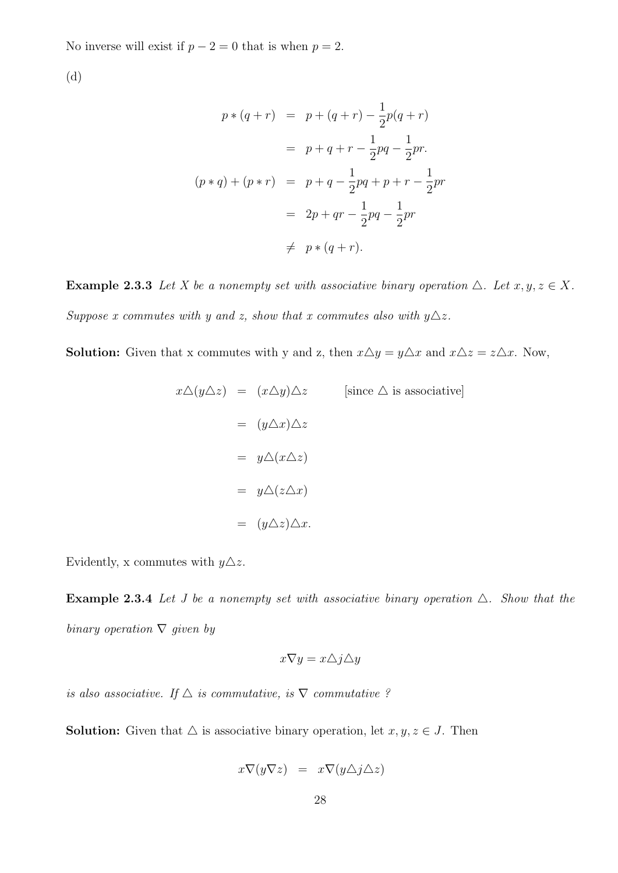No inverse will exist if  $p - 2 = 0$  that is when  $p = 2$ .

(d)

$$
p * (q + r) = p + (q + r) - \frac{1}{2}p(q + r)
$$
  

$$
= p + q + r - \frac{1}{2}pq - \frac{1}{2}pr.
$$
  

$$
(p * q) + (p * r) = p + q - \frac{1}{2}pq + p + r - \frac{1}{2}pr
$$
  

$$
= 2p + qr - \frac{1}{2}pq - \frac{1}{2}pr
$$
  

$$
\neq p * (q + r).
$$

**Example 2.3.3** Let X be a nonempty set with associative binary operation  $\Delta$ . Let  $x, y, z \in X$ . Suppose x commutes with y and z, show that x commutes also with  $y\Delta z$ .

**Solution:** Given that x commutes with y and z, then  $x \Delta y = y \Delta x$  and  $x \Delta z = z \Delta x$ . Now,

$$
x\triangle(y\triangle z) = (x\triangle y)\triangle z \qquad \text{[since } \triangle \text{ is associative]}
$$
  
=  $(y\triangle x)\triangle z$   
=  $y\triangle(x\triangle z)$   
=  $y\triangle(z\triangle x)$   
=  $(y\triangle z)\triangle x$ .

Evidently, x commutes with  $y\Delta z$ .

**Example 2.3.4** Let J be a nonempty set with associative binary operation  $\triangle$ . Show that the binary operation  $\nabla$  given by

$$
x\nabla y = x\triangle j\triangle y
$$

is also associative. If  $\Delta$  is commutative, is  $\nabla$  commutative ?

**Solution:** Given that  $\triangle$  is associative binary operation, let  $x, y, z \in J$ . Then

$$
x\nabla(y\nabla z) = x\nabla(y\triangle j\triangle z)
$$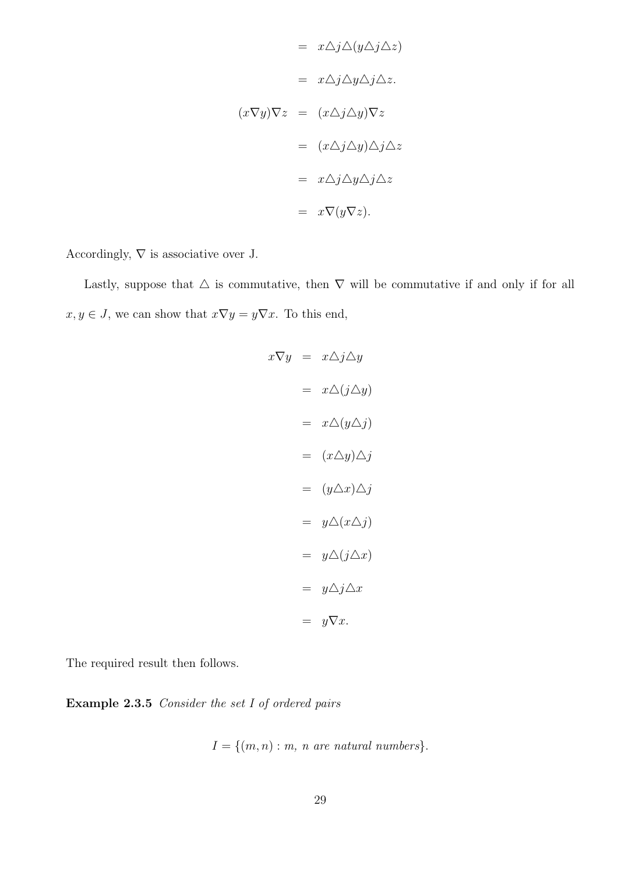$$
= x\triangle j\triangle (y\triangle j\triangle z)
$$

$$
= x\triangle j\triangle y\triangle j\triangle z.
$$

$$
(x\nabla y)\nabla z = (x\triangle j\triangle y)\nabla z
$$

$$
= (x\triangle j\triangle y)\triangle j\triangle z
$$

$$
= x\triangle j\triangle y\triangle j\triangle z
$$

$$
= x\nabla (y\nabla z).
$$

Accordingly,  $\nabla$  is associative over J.

Lastly, suppose that  $\Delta$  is commutative, then  $\nabla$  will be commutative if and only if for all  $x, y \in J$ , we can show that  $x \nabla y = y \nabla x$ . To this end,

$$
x\nabla y = x\Delta j \Delta y
$$
  
\n
$$
= x\Delta (j\Delta y)
$$
  
\n
$$
= x\Delta (y\Delta j)
$$
  
\n
$$
= (x\Delta y)\Delta j
$$
  
\n
$$
= (y\Delta x)\Delta j
$$
  
\n
$$
= y\Delta (x\Delta j)
$$
  
\n
$$
= y\Delta j\Delta x
$$
  
\n
$$
= y\nabla x.
$$

The required result then follows.

Example 2.3.5 Consider the set I of ordered pairs

$$
I = \{(m, n) : m, n \text{ are natural numbers}\}.
$$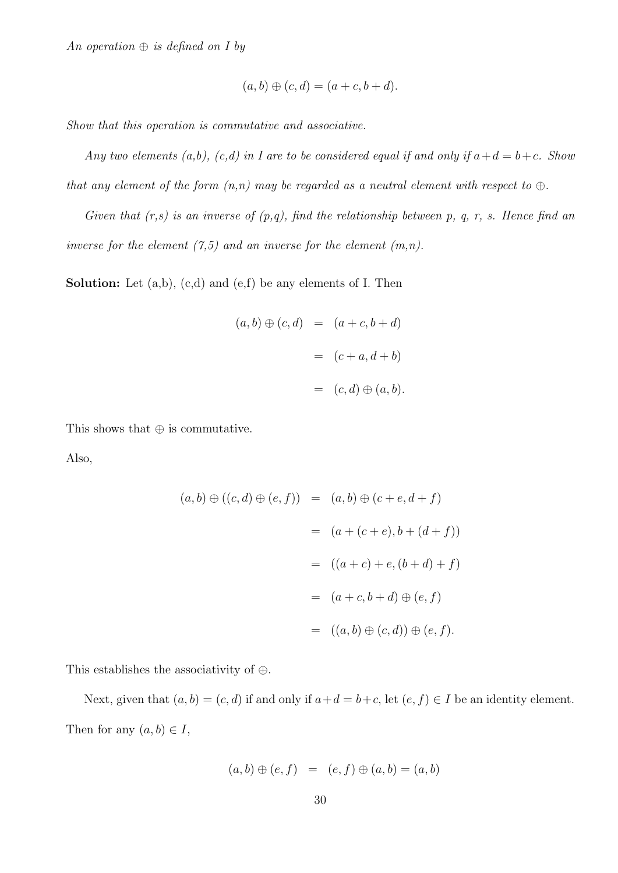An operation  $\oplus$  is defined on I by

$$
(a,b)\oplus(c,d)=(a+c,b+d).
$$

Show that this operation is commutative and associative.

Any two elements (a,b), (c,d) in I are to be considered equal if and only if  $a+d=b+c$ . Show that any element of the form  $(n,n)$  may be regarded as a neutral element with respect to  $\oplus$ .

Given that  $(r,s)$  is an inverse of  $(p,q)$ , find the relationship between p, q, r, s. Hence find an inverse for the element  $(7,5)$  and an inverse for the element  $(m,n)$ .

**Solution:** Let  $(a,b)$ ,  $(c,d)$  and  $(e,f)$  be any elements of I. Then

$$
(a, b) \oplus (c, d) = (a + c, b + d)
$$

$$
= (c + a, d + b)
$$

$$
= (c, d) \oplus (a, b).
$$

This shows that  $\oplus$  is commutative.

Also,

$$
(a,b) \oplus ((c,d) \oplus (e,f)) = (a,b) \oplus (c+e,d+f)
$$
  
=  $(a + (c+e), b + (d+f))$   
=  $((a+c) + e, (b+d) + f)$   
=  $(a+c, b+d) \oplus (e,f)$   
=  $((a,b) \oplus (c,d)) \oplus (e,f).$ 

This establishes the associativity of ⊕.

Next, given that  $(a, b) = (c, d)$  if and only if  $a + d = b + c$ , let  $(e, f) \in I$  be an identity element. Then for any  $(a, b) \in I$ ,

$$
(a, b) \oplus (e, f) = (e, f) \oplus (a, b) = (a, b)
$$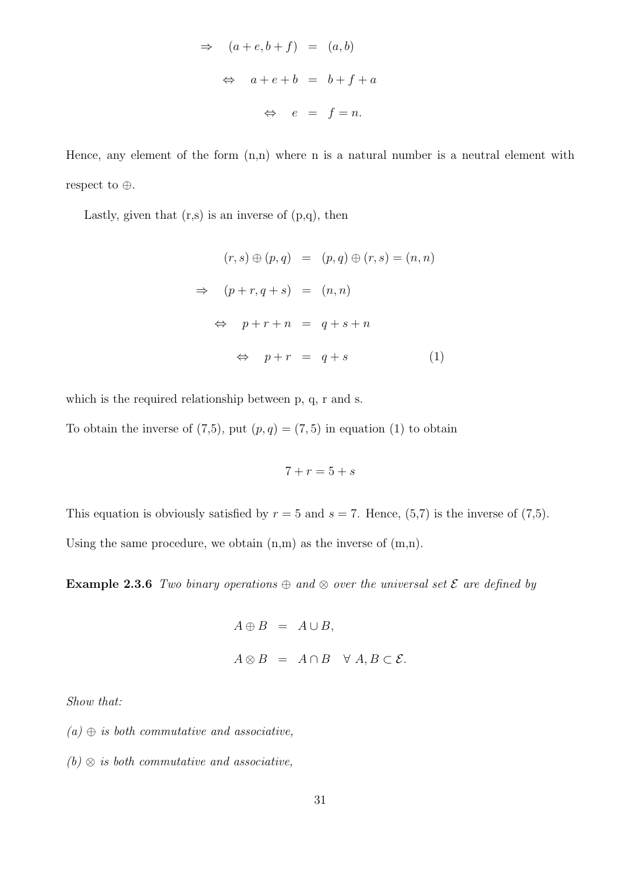$$
\Rightarrow (a + e, b + f) = (a, b)
$$
  

$$
\Rightarrow a + e + b = b + f + a
$$
  

$$
\Rightarrow e = f = n.
$$

Hence, any element of the form (n,n) where n is a natural number is a neutral element with respect to ⊕.

Lastly, given that  $(r,s)$  is an inverse of  $(p,q)$ , then

$$
(r,s) \oplus (p,q) = (p,q) \oplus (r,s) = (n,n)
$$
  
\n
$$
\Rightarrow (p+r,q+s) = (n,n)
$$
  
\n
$$
\Rightarrow p+r+n = q+s+n
$$
  
\n
$$
\Rightarrow p+r = q+s \qquad (1)
$$

which is the required relationship between p, q, r and s.

To obtain the inverse of  $(7,5)$ , put  $(p,q) = (7,5)$  in equation  $(1)$  to obtain

$$
7 + r = 5 + s
$$

This equation is obviously satisfied by  $r = 5$  and  $s = 7$ . Hence,  $(5,7)$  is the inverse of  $(7,5)$ . Using the same procedure, we obtain  $(n,m)$  as the inverse of  $(m,n)$ .

**Example 2.3.6** Two binary operations  $\oplus$  and  $\otimes$  over the universal set  $\mathcal E$  are defined by

$$
A \oplus B = A \cup B,
$$
  

$$
A \otimes B = A \cap B \quad \forall A, B \subset \mathcal{E}.
$$

Show that:

 $(a) \oplus is both commutative and associative,$ 

 $(b) \otimes$  is both commutative and associative,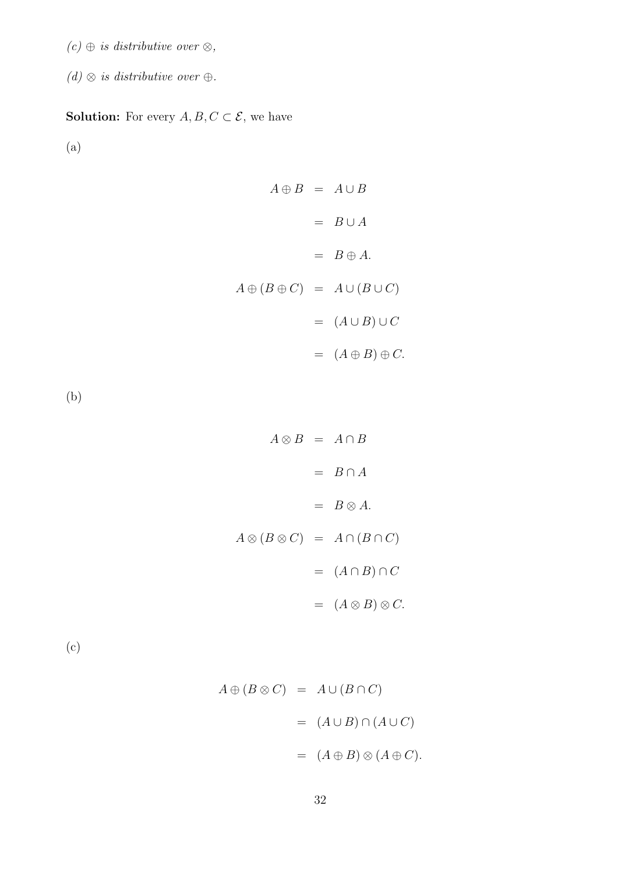- $(c) \oplus$  is distributive over  $\otimes$ ,
- $(d) \otimes$  is distributive over  $\oplus$ .

#### **Solution:** For every  $A, B, C \subset \mathcal{E}$ , we have

(a)

 $A \oplus B = A \cup B$  $= B \cup A$  $= B \oplus A.$  $A \oplus (B \oplus C) = A \cup (B \cup C)$  $= (A \cup B) \cup C$  $= (A \oplus B) \oplus C.$ 

(b)

 $A \otimes B = A \cap B$  $=$   $B \cap A$  $= B \otimes A.$  $A \otimes (B \otimes C) = A \cap (B \cap C)$  $= (A \cap B) \cap C$  $= (A \otimes B) \otimes C.$ 

(c)

$$
A \oplus (B \otimes C) = A \cup (B \cap C)
$$
  
= 
$$
(A \cup B) \cap (A \cup C)
$$
  
= 
$$
(A \oplus B) \otimes (A \oplus C).
$$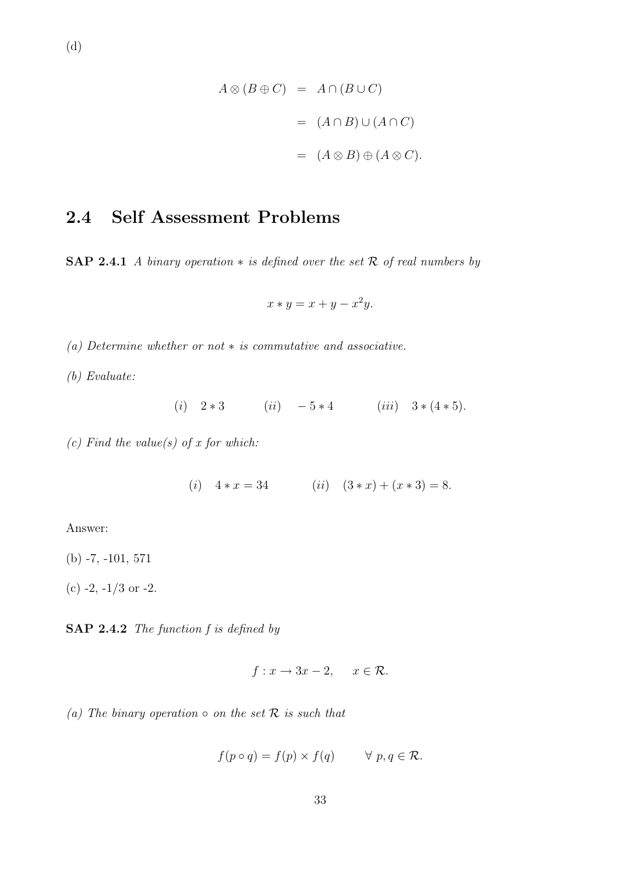$$
A \otimes (B \oplus C) = A \cap (B \cup C)
$$
  
= 
$$
(A \cap B) \cup (A \cap C)
$$
  
= 
$$
(A \otimes B) \oplus (A \otimes C).
$$

### 2.4 Self Assessment Problems

SAP 2.4.1 A binary operation  $*$  is defined over the set R of real numbers by

$$
x * y = x + y - x^2y.
$$

(a) Determine whether or not  $*$  is commutative and associative.

(b) Evaluate:

(i) 
$$
2 * 3
$$
 (ii)  $-5 * 4$  (iii)  $3 * (4 * 5)$ .

(c) Find the value(s) of x for which:

(i)  $4 * x = 34$  (ii)  $(3 * x) + (x * 3) = 8.$ 

Answer:

(b) -7, -101, 571

 $(c)$  -2,  $-1/3$  or -2.

SAP 2.4.2 The function f is defined by

$$
f: x \to 3x - 2, \quad x \in \mathcal{R}.
$$

(a) The binary operation  $\circ$  on the set  $\mathcal R$  is such that

$$
f(p \circ q) = f(p) \times f(q) \qquad \forall \ p, q \in \mathcal{R}.
$$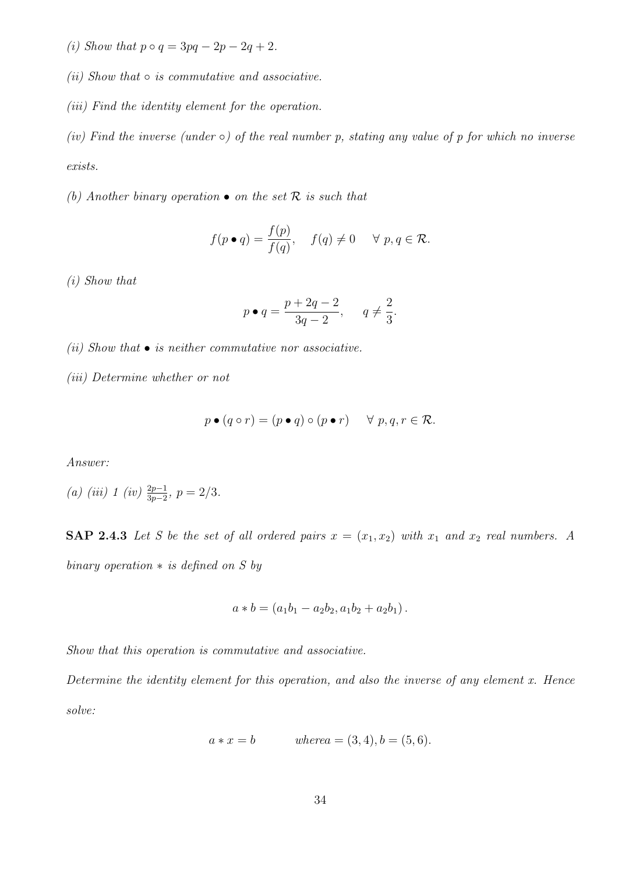(i) Show that  $p \circ q = 3pq - 2p - 2q + 2$ .

 $(ii)$  Show that  $\circ$  is commutative and associative.

(iii) Find the identity element for the operation.

(iv) Find the inverse (under  $\circ$ ) of the real number p, stating any value of p for which no inverse exists.

(b) Another binary operation  $\bullet$  on the set  $\mathcal R$  is such that

$$
f(p \bullet q) = \frac{f(p)}{f(q)}, \quad f(q) \neq 0 \quad \forall \ p, q \in \mathcal{R}.
$$

(i) Show that

$$
p \bullet q = \frac{p+2q-2}{3q-2}, \quad q \neq \frac{2}{3}.
$$

(ii) Show that  $\bullet$  is neither commutative nor associative.

(iii) Determine whether or not

$$
p \bullet (q \circ r) = (p \bullet q) \circ (p \bullet r) \quad \forall \ p, q, r \in \mathcal{R}.
$$

Answer:

(a) (iii) 1 (iv) 
$$
\frac{2p-1}{3p-2}
$$
,  $p = 2/3$ .

SAP 2.4.3 Let S be the set of all ordered pairs  $x = (x_1, x_2)$  with  $x_1$  and  $x_2$  real numbers. A binary operation  $*$  is defined on S by

$$
a * b = (a_1b_1 - a_2b_2, a_1b_2 + a_2b_1).
$$

Show that this operation is commutative and associative.

Determine the identity element for this operation, and also the inverse of any element  $x$ . Hence solve:

$$
a * x = b
$$
 where  $a = (3, 4), b = (5, 6).$